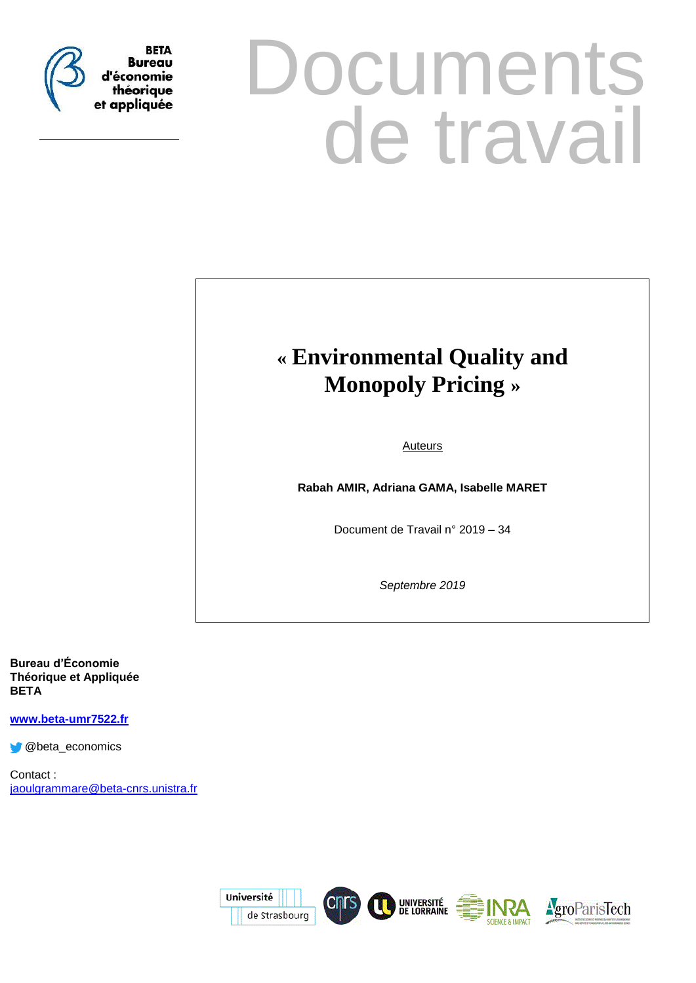

# **Documents** de travail

# **« Environmental Quality and Monopoly Pricing »**

Auteurs

**Rabah AMIR, Adriana GAMA, Isabelle MARET**

Document de Travail n° 2019 – 34

*Septembre 2019*

**Bureau d'Économie Théorique et Appliquée BETA**

**[www.beta-umr7522.fr](http://www.beta-umr7522.fr/)**

@beta\_economics

Contact : [jaoulgrammare@beta-cnrs.unistra.fr](mailto:jaoulgrammare@beta-cnrs.unistra.fr)

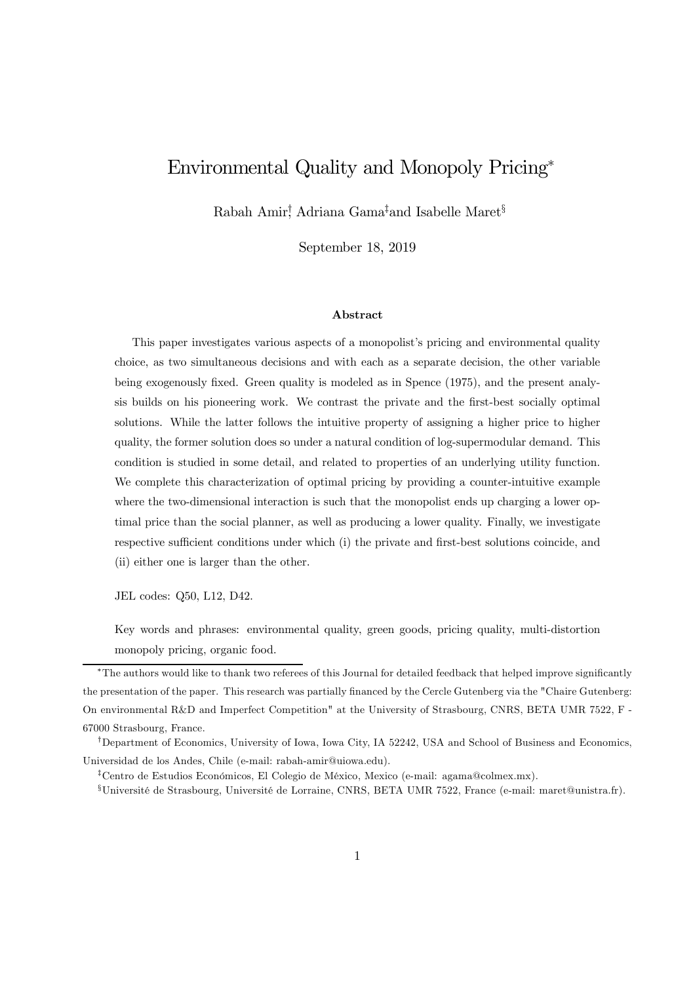# Environmental Quality and Monopoly Pricing<sup>∗</sup>

Rabah Amir† , Adriana Gama‡and Isabelle Maret§

September 18, 2019

#### Abstract

This paper investigates various aspects of a monopolist's pricing and environmental quality choice, as two simultaneous decisions and with each as a separate decision, the other variable being exogenously fixed. Green quality is modeled as in Spence (1975), and the present analysis builds on his pioneering work. We contrast the private and the first-best socially optimal solutions. While the latter follows the intuitive property of assigning a higher price to higher quality, the former solution does so under a natural condition of log-supermodular demand. This condition is studied in some detail, and related to properties of an underlying utility function. We complete this characterization of optimal pricing by providing a counter-intuitive example where the two-dimensional interaction is such that the monopolist ends up charging a lower optimal price than the social planner, as well as producing a lower quality. Finally, we investigate respective sufficient conditions under which (i) the private and first-best solutions coincide, and (ii) either one is larger than the other.

JEL codes: Q50, L12, D42.

Key words and phrases: environmental quality, green goods, pricing quality, multi-distortion monopoly pricing, organic food.

<sup>∗</sup>The authors would like to thank two referees of this Journal for detailed feedback that helped improve significantly the presentation of the paper. This research was partially financed by the Cercle Gutenberg via the "Chaire Gutenberg: On environmental R&D and Imperfect Competition" at the University of Strasbourg, CNRS, BETA UMR 7522, F - 67000 Strasbourg, France.

<sup>†</sup>Department of Economics, University of Iowa, Iowa City, IA 52242, USA and School of Business and Economics, Universidad de los Andes, Chile (e-mail: rabah-amir@uiowa.edu).

<sup>‡</sup>Centro de Estudios Económicos, El Colegio de México, Mexico (e-mail: agama@colmex.mx).

<sup>§</sup>Université de Strasbourg, Université de Lorraine, CNRS, BETA UMR 7522, France (e-mail: maret@unistra.fr).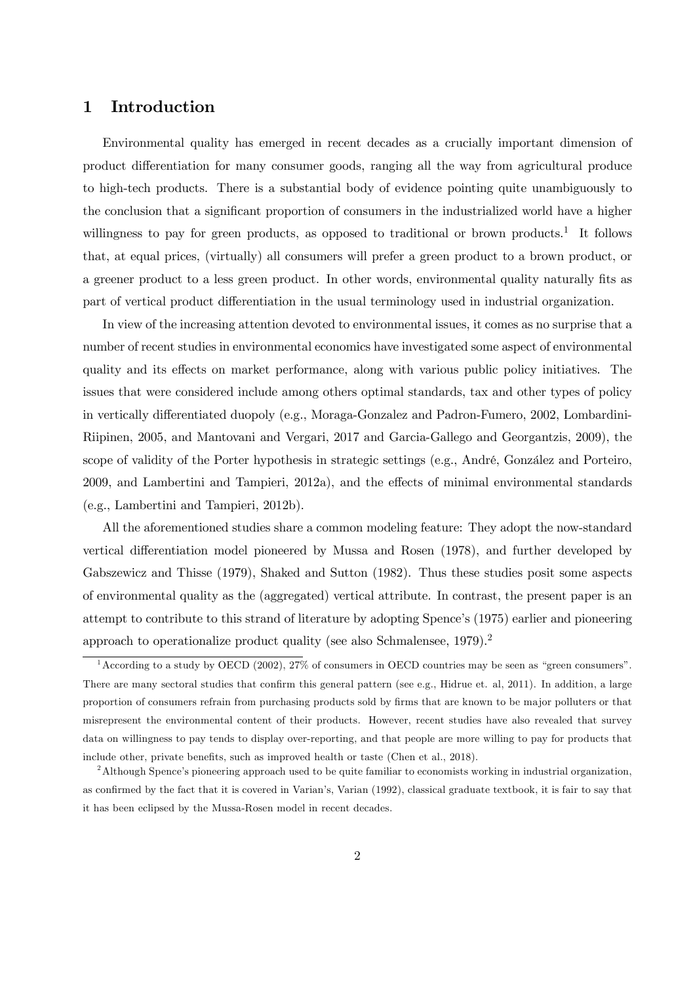# 1 Introduction

Environmental quality has emerged in recent decades as a crucially important dimension of product differentiation for many consumer goods, ranging all the way from agricultural produce to high-tech products. There is a substantial body of evidence pointing quite unambiguously to the conclusion that a significant proportion of consumers in the industrialized world have a higher willingness to pay for green products, as opposed to traditional or brown products.<sup>1</sup> It follows that, at equal prices, (virtually) all consumers will prefer a green product to a brown product, or a greener product to a less green product. In other words, environmental quality naturally fits as part of vertical product differentiation in the usual terminology used in industrial organization.

In view of the increasing attention devoted to environmental issues, it comes as no surprise that a number of recent studies in environmental economics have investigated some aspect of environmental quality and its effects on market performance, along with various public policy initiatives. The issues that were considered include among others optimal standards, tax and other types of policy in vertically differentiated duopoly (e.g., Moraga-Gonzalez and Padron-Fumero, 2002, Lombardini-Riipinen, 2005, and Mantovani and Vergari, 2017 and Garcia-Gallego and Georgantzis, 2009), the scope of validity of the Porter hypothesis in strategic settings (e.g., André, González and Porteiro, 2009, and Lambertini and Tampieri, 2012a), and the effects of minimal environmental standards (e.g., Lambertini and Tampieri, 2012b).

All the aforementioned studies share a common modeling feature: They adopt the now-standard vertical differentiation model pioneered by Mussa and Rosen (1978), and further developed by Gabszewicz and Thisse (1979), Shaked and Sutton (1982). Thus these studies posit some aspects of environmental quality as the (aggregated) vertical attribute. In contrast, the present paper is an attempt to contribute to this strand of literature by adopting Spence's (1975) earlier and pioneering approach to operationalize product quality (see also Schmalensee, 1979).<sup>2</sup>

<sup>&</sup>lt;sup>1</sup> According to a study by OECD (2002), 27% of consumers in OECD countries may be seen as "green consumers". There are many sectoral studies that confirm this general pattern (see e.g., Hidrue et. al, 2011). In addition, a large proportion of consumers refrain from purchasing products sold by firms that are known to be major polluters or that misrepresent the environmental content of their products. However, recent studies have also revealed that survey data on willingness to pay tends to display over-reporting, and that people are more willing to pay for products that include other, private benefits, such as improved health or taste (Chen et al., 2018).

<sup>&</sup>lt;sup>2</sup>Although Spence's pioneering approach used to be quite familiar to economists working in industrial organization, as confirmed by the fact that it is covered in Varian's, Varian (1992), classical graduate textbook, it is fair to say that it has been eclipsed by the Mussa-Rosen model in recent decades.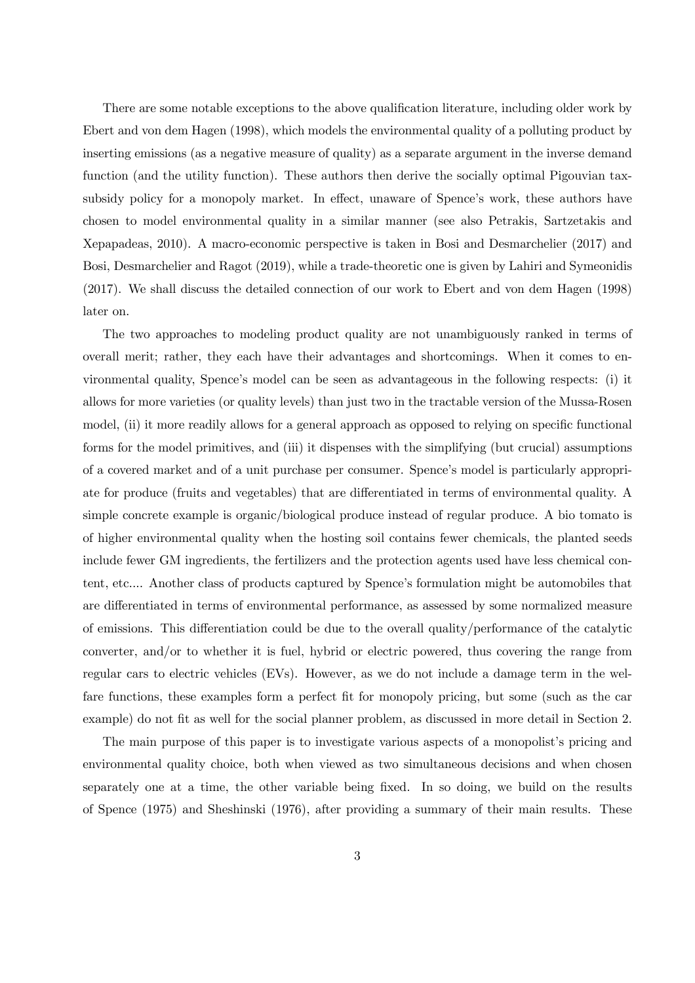There are some notable exceptions to the above qualification literature, including older work by Ebert and von dem Hagen (1998), which models the environmental quality of a polluting product by inserting emissions (as a negative measure of quality) as a separate argument in the inverse demand function (and the utility function). These authors then derive the socially optimal Pigouvian taxsubsidy policy for a monopoly market. In effect, unaware of Spence's work, these authors have chosen to model environmental quality in a similar manner (see also Petrakis, Sartzetakis and Xepapadeas, 2010). A macro-economic perspective is taken in Bosi and Desmarchelier (2017) and Bosi, Desmarchelier and Ragot (2019), while a trade-theoretic one is given by Lahiri and Symeonidis (2017). We shall discuss the detailed connection of our work to Ebert and von dem Hagen (1998) later on.

The two approaches to modeling product quality are not unambiguously ranked in terms of overall merit; rather, they each have their advantages and shortcomings. When it comes to environmental quality, Spence's model can be seen as advantageous in the following respects: (i) it allows for more varieties (or quality levels) than just two in the tractable version of the Mussa-Rosen model, (ii) it more readily allows for a general approach as opposed to relying on specific functional forms for the model primitives, and (iii) it dispenses with the simplifying (but crucial) assumptions of a covered market and of a unit purchase per consumer. Spence's model is particularly appropriate for produce (fruits and vegetables) that are differentiated in terms of environmental quality. A simple concrete example is organic/biological produce instead of regular produce. A bio tomato is of higher environmental quality when the hosting soil contains fewer chemicals, the planted seeds include fewer GM ingredients, the fertilizers and the protection agents used have less chemical content, etc.... Another class of products captured by Spence's formulation might be automobiles that are differentiated in terms of environmental performance, as assessed by some normalized measure of emissions. This differentiation could be due to the overall quality/performance of the catalytic converter, and/or to whether it is fuel, hybrid or electric powered, thus covering the range from regular cars to electric vehicles (EVs). However, as we do not include a damage term in the welfare functions, these examples form a perfect fit for monopoly pricing, but some (such as the car example) do not fit as well for the social planner problem, as discussed in more detail in Section 2.

The main purpose of this paper is to investigate various aspects of a monopolist's pricing and environmental quality choice, both when viewed as two simultaneous decisions and when chosen separately one at a time, the other variable being fixed. In so doing, we build on the results of Spence (1975) and Sheshinski (1976), after providing a summary of their main results. These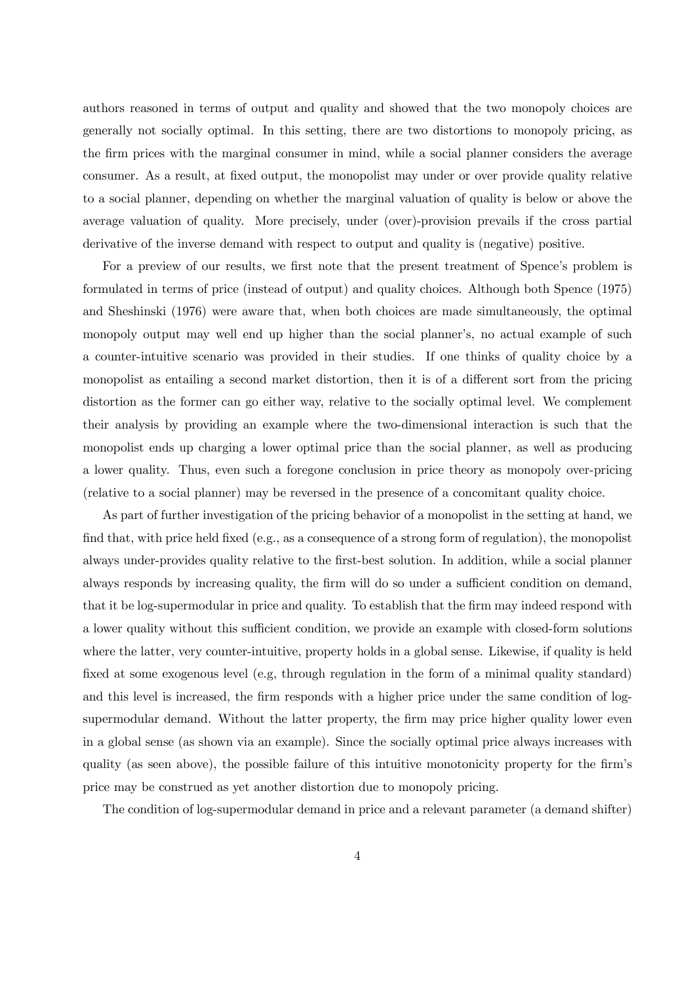authors reasoned in terms of output and quality and showed that the two monopoly choices are generally not socially optimal. In this setting, there are two distortions to monopoly pricing, as the firm prices with the marginal consumer in mind, while a social planner considers the average consumer. As a result, at fixed output, the monopolist may under or over provide quality relative to a social planner, depending on whether the marginal valuation of quality is below or above the average valuation of quality. More precisely, under (over)-provision prevails if the cross partial derivative of the inverse demand with respect to output and quality is (negative) positive.

For a preview of our results, we first note that the present treatment of Spence's problem is formulated in terms of price (instead of output) and quality choices. Although both Spence (1975) and Sheshinski (1976) were aware that, when both choices are made simultaneously, the optimal monopoly output may well end up higher than the social planner's, no actual example of such a counter-intuitive scenario was provided in their studies. If one thinks of quality choice by a monopolist as entailing a second market distortion, then it is of a different sort from the pricing distortion as the former can go either way, relative to the socially optimal level. We complement their analysis by providing an example where the two-dimensional interaction is such that the monopolist ends up charging a lower optimal price than the social planner, as well as producing a lower quality. Thus, even such a foregone conclusion in price theory as monopoly over-pricing (relative to a social planner) may be reversed in the presence of a concomitant quality choice.

As part of further investigation of the pricing behavior of a monopolist in the setting at hand, we find that, with price held fixed (e.g., as a consequence of a strong form of regulation), the monopolist always under-provides quality relative to the first-best solution. In addition, while a social planner always responds by increasing quality, the firm will do so under a sufficient condition on demand, that it be log-supermodular in price and quality. To establish that the firm may indeed respond with a lower quality without this sufficient condition, we provide an example with closed-form solutions where the latter, very counter-intuitive, property holds in a global sense. Likewise, if quality is held fixed at some exogenous level (e.g, through regulation in the form of a minimal quality standard) and this level is increased, the firm responds with a higher price under the same condition of logsupermodular demand. Without the latter property, the firm may price higher quality lower even in a global sense (as shown via an example). Since the socially optimal price always increases with quality (as seen above), the possible failure of this intuitive monotonicity property for the firm's price may be construed as yet another distortion due to monopoly pricing.

The condition of log-supermodular demand in price and a relevant parameter (a demand shifter)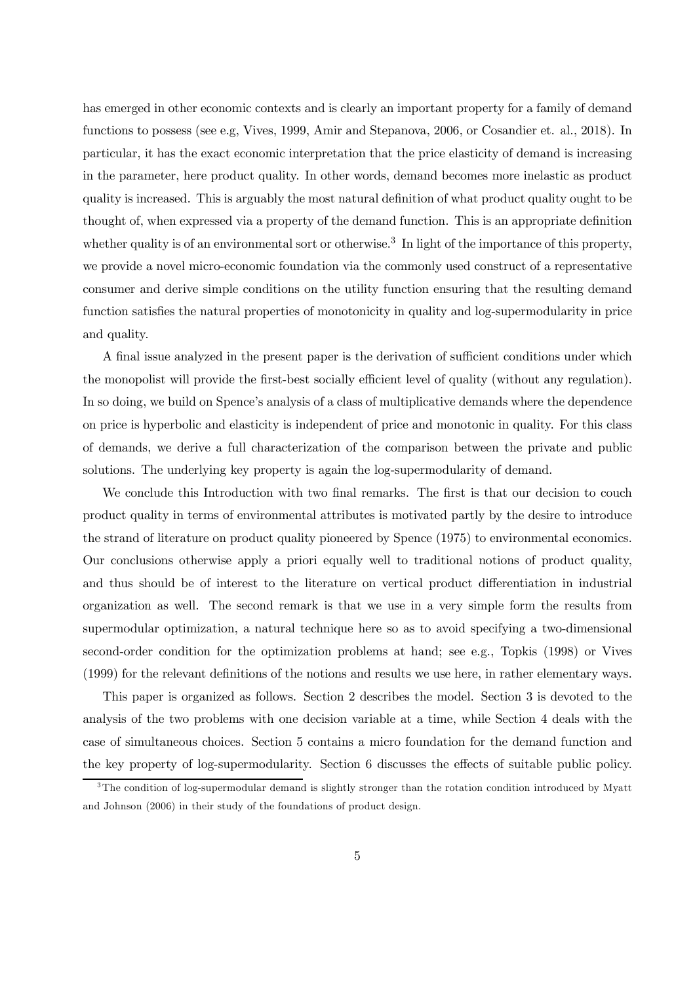has emerged in other economic contexts and is clearly an important property for a family of demand functions to possess (see e.g, Vives, 1999, Amir and Stepanova, 2006, or Cosandier et. al., 2018). In particular, it has the exact economic interpretation that the price elasticity of demand is increasing in the parameter, here product quality. In other words, demand becomes more inelastic as product quality is increased. This is arguably the most natural definition of what product quality ought to be thought of, when expressed via a property of the demand function. This is an appropriate definition whether quality is of an environmental sort or otherwise.<sup>3</sup> In light of the importance of this property, we provide a novel micro-economic foundation via the commonly used construct of a representative consumer and derive simple conditions on the utility function ensuring that the resulting demand function satisfies the natural properties of monotonicity in quality and log-supermodularity in price and quality.

A final issue analyzed in the present paper is the derivation of sufficient conditions under which the monopolist will provide the first-best socially efficient level of quality (without any regulation). In so doing, we build on Spence's analysis of a class of multiplicative demands where the dependence on price is hyperbolic and elasticity is independent of price and monotonic in quality. For this class of demands, we derive a full characterization of the comparison between the private and public solutions. The underlying key property is again the log-supermodularity of demand.

We conclude this Introduction with two final remarks. The first is that our decision to couch product quality in terms of environmental attributes is motivated partly by the desire to introduce the strand of literature on product quality pioneered by Spence (1975) to environmental economics. Our conclusions otherwise apply a priori equally well to traditional notions of product quality, and thus should be of interest to the literature on vertical product differentiation in industrial organization as well. The second remark is that we use in a very simple form the results from supermodular optimization, a natural technique here so as to avoid specifying a two-dimensional second-order condition for the optimization problems at hand; see e.g., Topkis (1998) or Vives (1999) for the relevant definitions of the notions and results we use here, in rather elementary ways.

This paper is organized as follows. Section 2 describes the model. Section 3 is devoted to the analysis of the two problems with one decision variable at a time, while Section 4 deals with the case of simultaneous choices. Section 5 contains a micro foundation for the demand function and the key property of log-supermodularity. Section 6 discusses the effects of suitable public policy.

<sup>&</sup>lt;sup>3</sup>The condition of log-supermodular demand is slightly stronger than the rotation condition introduced by Myatt and Johnson (2006) in their study of the foundations of product design.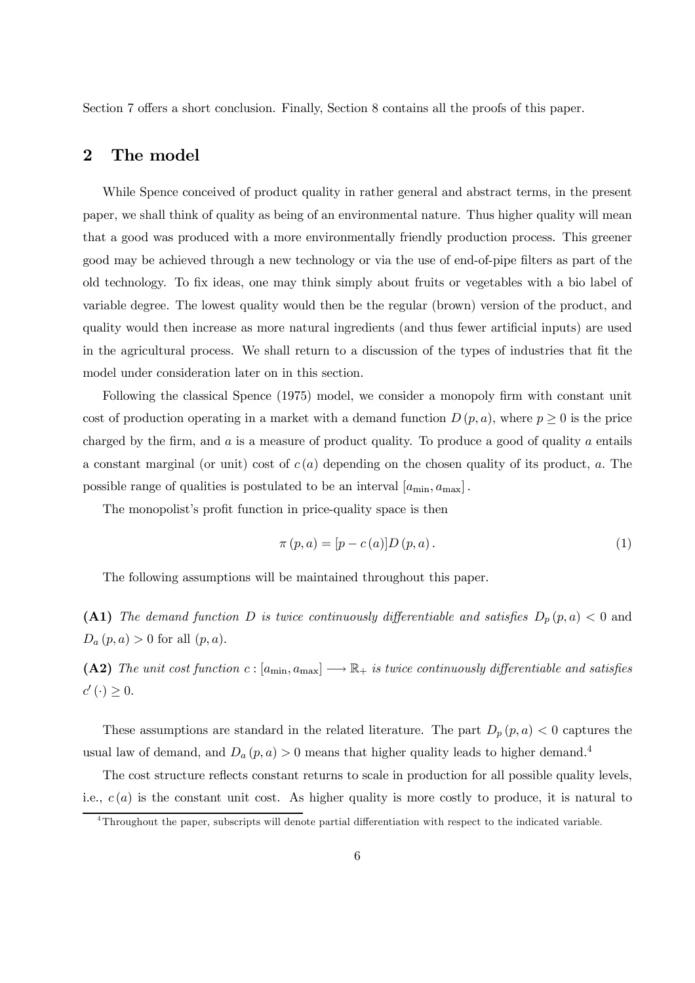Section 7 offers a short conclusion. Finally, Section 8 contains all the proofs of this paper.

# 2 The model

While Spence conceived of product quality in rather general and abstract terms, in the present paper, we shall think of quality as being of an environmental nature. Thus higher quality will mean that a good was produced with a more environmentally friendly production process. This greener good may be achieved through a new technology or via the use of end-of-pipe filters as part of the old technology. To fix ideas, one may think simply about fruits or vegetables with a bio label of variable degree. The lowest quality would then be the regular (brown) version of the product, and quality would then increase as more natural ingredients (and thus fewer artificial inputs) are used in the agricultural process. We shall return to a discussion of the types of industries that fit the model under consideration later on in this section.

Following the classical Spence (1975) model, we consider a monopoly firm with constant unit cost of production operating in a market with a demand function  $D(p, a)$ , where  $p \ge 0$  is the price charged by the firm, and  $\alpha$  is a measure of product quality. To produce a good of quality  $\alpha$  entails a constant marginal (or unit) cost of  $c(a)$  depending on the chosen quality of its product, a. The possible range of qualities is postulated to be an interval  $[a_{\min}, a_{\max}]$ .

The monopolist's profit function in price-quality space is then

$$
\pi(p, a) = [p - c(a)]D(p, a).
$$
\n(1)

The following assumptions will be maintained throughout this paper.

(A1) The demand function D is twice continuously differentiable and satisfies  $D_p(p,a) < 0$  and  $D_a(p, a) > 0$  for all  $(p, a)$ .

(A2) The unit cost function  $c : [a_{\min}, a_{\max}] \longrightarrow \mathbb{R}_+$  is twice continuously differentiable and satisfies  $c'(\cdot) \geq 0.$ 

These assumptions are standard in the related literature. The part  $D_p(p, a) < 0$  captures the usual law of demand, and  $D_a(p, a) > 0$  means that higher quality leads to higher demand.<sup>4</sup>

The cost structure reflects constant returns to scale in production for all possible quality levels, i.e.,  $c(a)$  is the constant unit cost. As higher quality is more costly to produce, it is natural to

<sup>4</sup>Throughout the paper, subscripts will denote partial differentiation with respect to the indicated variable.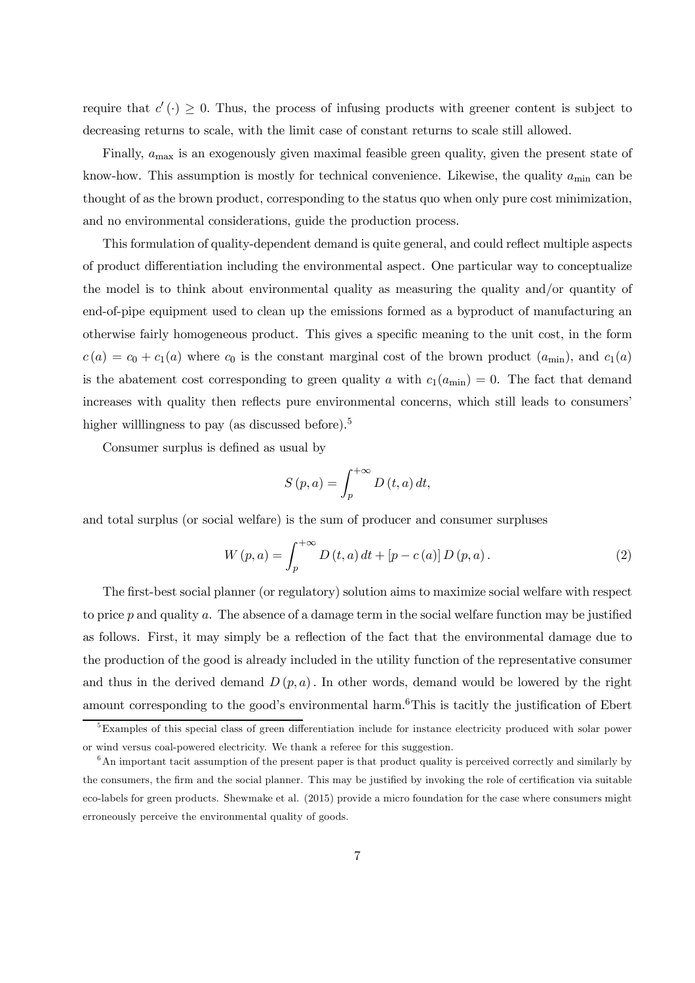require that  $c'(\cdot) \geq 0$ . Thus, the process of infusing products with greener content is subject to decreasing returns to scale, with the limit case of constant returns to scale still allowed.

Finally,  $a_{\text{max}}$  is an exogenously given maximal feasible green quality, given the present state of know-how. This assumption is mostly for technical convenience. Likewise, the quality  $a_{\text{min}}$  can be thought of as the brown product, corresponding to the status quo when only pure cost minimization, and no environmental considerations, guide the production process.

This formulation of quality-dependent demand is quite general, and could reflect multiple aspects of product differentiation including the environmental aspect. One particular way to conceptualize the model is to think about environmental quality as measuring the quality and/or quantity of end-of-pipe equipment used to clean up the emissions formed as a byproduct of manufacturing an otherwise fairly homogeneous product. This gives a specific meaning to the unit cost, in the form  $c(a) = c_0 + c_1(a)$  where  $c_0$  is the constant marginal cost of the brown product  $(a_{\min})$ , and  $c_1(a)$ is the abatement cost corresponding to green quality a with  $c_1(a_{\min}) = 0$ . The fact that demand increases with quality then reflects pure environmental concerns, which still leads to consumers' higher willlingness to pay (as discussed before).<sup>5</sup>

Consumer surplus is defined as usual by

$$
S(p, a) = \int_{p}^{+\infty} D(t, a) dt,
$$

and total surplus (or social welfare) is the sum of producer and consumer surpluses

$$
W(p, a) = \int_{p}^{+\infty} D(t, a) dt + [p - c(a)] D(p, a).
$$
 (2)

The first-best social planner (or regulatory) solution aims to maximize social welfare with respect to price  $p$  and quality  $a$ . The absence of a damage term in the social welfare function may be justified as follows. First, it may simply be a reflection of the fact that the environmental damage due to the production of the good is already included in the utility function of the representative consumer and thus in the derived demand  $D(p, a)$ . In other words, demand would be lowered by the right amount corresponding to the good's environmental harm.<sup>6</sup>This is tacitly the justification of Ebert

<sup>&</sup>lt;sup>5</sup>Examples of this special class of green differentiation include for instance electricity produced with solar power or wind versus coal-powered electricity. We thank a referee for this suggestion.

<sup>6</sup>An important tacit assumption of the present paper is that product quality is perceived correctly and similarly by the consumers, the firm and the social planner. This may be justified by invoking the role of certification via suitable eco-labels for green products. Shewmake et al. (2015) provide a micro foundation for the case where consumers might erroneously perceive the environmental quality of goods.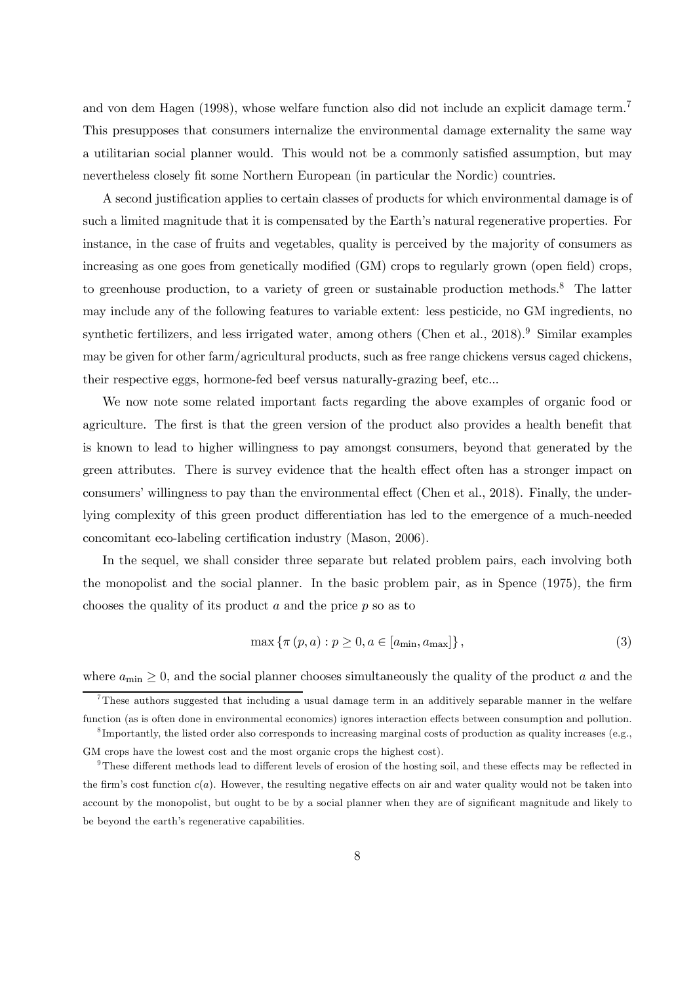and von dem Hagen (1998), whose welfare function also did not include an explicit damage term.<sup>7</sup> This presupposes that consumers internalize the environmental damage externality the same way a utilitarian social planner would. This would not be a commonly satisfied assumption, but may nevertheless closely fit some Northern European (in particular the Nordic) countries.

A second justification applies to certain classes of products for which environmental damage is of such a limited magnitude that it is compensated by the Earth's natural regenerative properties. For instance, in the case of fruits and vegetables, quality is perceived by the majority of consumers as increasing as one goes from genetically modified (GM) crops to regularly grown (open field) crops, to greenhouse production, to a variety of green or sustainable production methods.<sup>8</sup> The latter may include any of the following features to variable extent: less pesticide, no GM ingredients, no synthetic fertilizers, and less irrigated water, among others (Chen et al.,  $2018$ ).<sup>9</sup> Similar examples may be given for other farm/agricultural products, such as free range chickens versus caged chickens, their respective eggs, hormone-fed beef versus naturally-grazing beef, etc...

We now note some related important facts regarding the above examples of organic food or agriculture. The first is that the green version of the product also provides a health benefit that is known to lead to higher willingness to pay amongst consumers, beyond that generated by the green attributes. There is survey evidence that the health effect often has a stronger impact on consumers' willingness to pay than the environmental effect (Chen et al., 2018). Finally, the underlying complexity of this green product differentiation has led to the emergence of a much-needed concomitant eco-labeling certification industry (Mason, 2006).

In the sequel, we shall consider three separate but related problem pairs, each involving both the monopolist and the social planner. In the basic problem pair, as in Spence (1975), the firm chooses the quality of its product  $a$  and the price  $p$  so as to

$$
\max\left\{\pi\left(p,a\right):p\geq0,a\in\left[a_{\min},a_{\max}\right]\right\},\tag{3}
$$

where  $a_{\text{min}} \geq 0$ , and the social planner chooses simultaneously the quality of the product a and the

<sup>7</sup>These authors suggested that including a usual damage term in an additively separable manner in the welfare function (as is often done in environmental economics) ignores interaction effects between consumption and pollution.

<sup>&</sup>lt;sup>8</sup>Importantly, the listed order also corresponds to increasing marginal costs of production as quality increases (e.g., GM crops have the lowest cost and the most organic crops the highest cost).

 $9$ These different methods lead to different levels of erosion of the hosting soil, and these effects may be reflected in the firm's cost function  $c(a)$ . However, the resulting negative effects on air and water quality would not be taken into account by the monopolist, but ought to be by a social planner when they are of significant magnitude and likely to be beyond the earth's regenerative capabilities.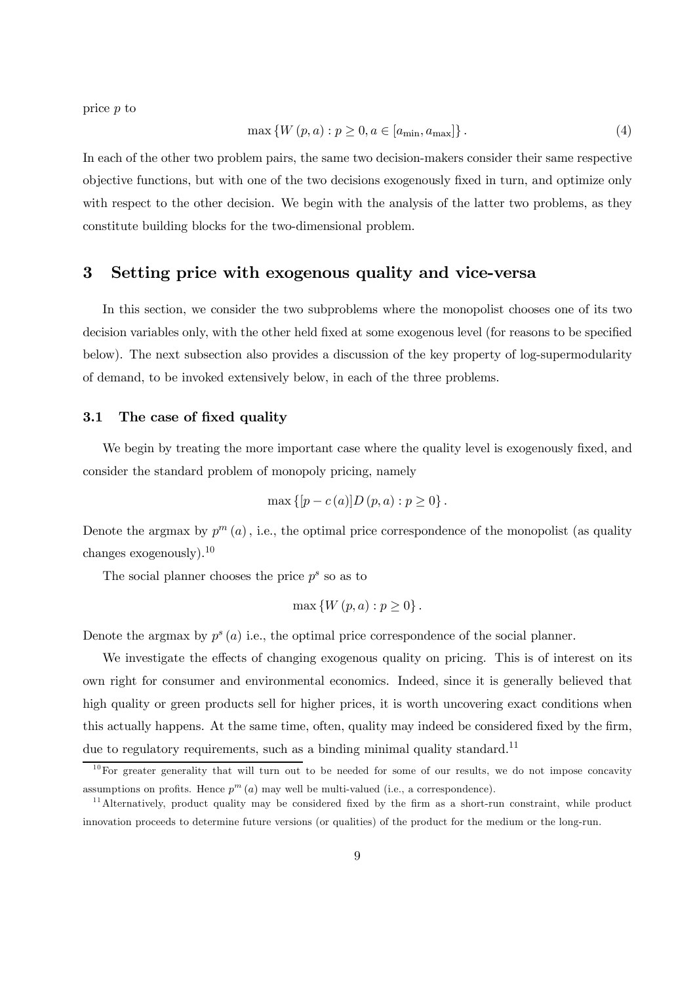price p to

$$
\max \{ W(p, a) : p \ge 0, a \in [a_{\min}, a_{\max}] \}.
$$
\n(4)

In each of the other two problem pairs, the same two decision-makers consider their same respective objective functions, but with one of the two decisions exogenously fixed in turn, and optimize only with respect to the other decision. We begin with the analysis of the latter two problems, as they constitute building blocks for the two-dimensional problem.

# 3 Setting price with exogenous quality and vice-versa

In this section, we consider the two subproblems where the monopolist chooses one of its two decision variables only, with the other held fixed at some exogenous level (for reasons to be specified below). The next subsection also provides a discussion of the key property of log-supermodularity of demand, to be invoked extensively below, in each of the three problems.

#### 3.1 The case of fixed quality

We begin by treating the more important case where the quality level is exogenously fixed, and consider the standard problem of monopoly pricing, namely

$$
\max \{ [p - c(a)]D (p, a) : p \ge 0 \}.
$$

Denote the argmax by  $p^{m}(a)$ , i.e., the optimal price correspondence of the monopolist (as quality changes exogenously).<sup>10</sup>

The social planner chooses the price  $p^s$  so as to

$$
\max\left\{W\left(p,a\right):p\geq 0\right\}.
$$

Denote the argmax by  $p^{s}(a)$  i.e., the optimal price correspondence of the social planner.

We investigate the effects of changing exogenous quality on pricing. This is of interest on its own right for consumer and environmental economics. Indeed, since it is generally believed that high quality or green products sell for higher prices, it is worth uncovering exact conditions when this actually happens. At the same time, often, quality may indeed be considered fixed by the firm, due to regulatory requirements, such as a binding minimal quality standard.<sup>11</sup>

 $10$  For greater generality that will turn out to be needed for some of our results, we do not impose concavity assumptions on profits. Hence  $p^{m}(a)$  may well be multi-valued (i.e., a correspondence).

<sup>&</sup>lt;sup>11</sup> Alternatively, product quality may be considered fixed by the firm as a short-run constraint, while product innovation proceeds to determine future versions (or qualities) of the product for the medium or the long-run.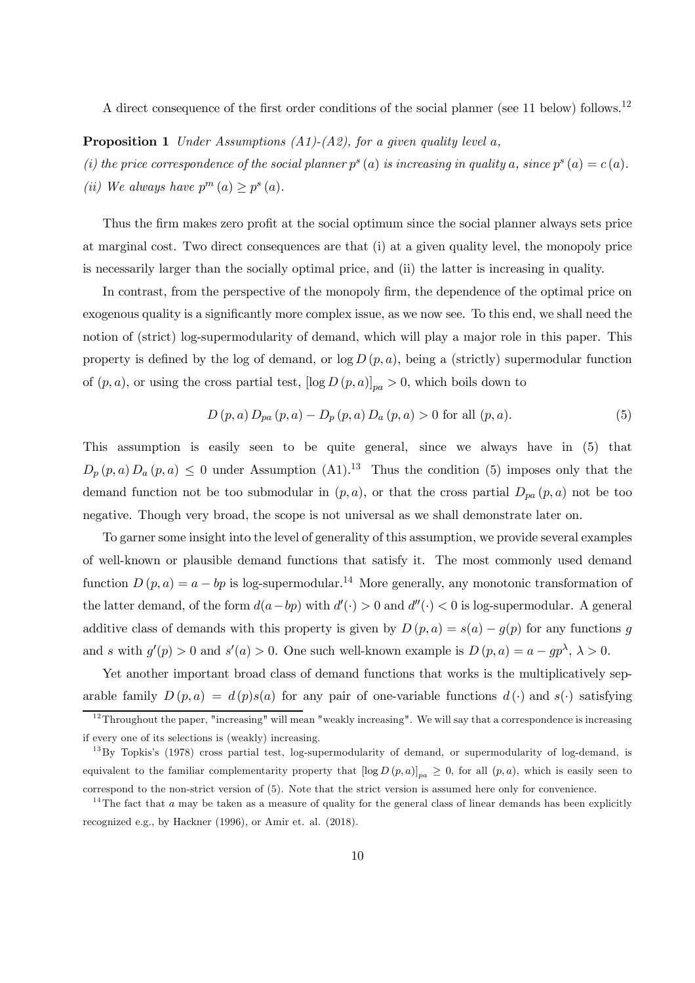A direct consequence of the first order conditions of the social planner (see 11 below) follows.<sup>12</sup>

**Proposition 1** Under Assumptions  $(A1)-(A2)$ , for a given quality level a,

(i) the price correspondence of the social planner  $p^{s}(a)$  is increasing in quality a, since  $p^{s}(a) = c(a)$ .

(ii) We always have  $p^{m}(a) \geq p^{s}(a)$ .

Thus the firm makes zero profit at the social optimum since the social planner always sets price at marginal cost. Two direct consequences are that (i) at a given quality level, the monopoly price is necessarily larger than the socially optimal price, and (ii) the latter is increasing in quality.

In contrast, from the perspective of the monopoly firm, the dependence of the optimal price on exogenous quality is a significantly more complex issue, as we now see. To this end, we shall need the notion of (strict) log-supermodularity of demand, which will play a major role in this paper. This property is defined by the log of demand, or  $\log D(p, a)$ , being a (strictly) supermodular function of  $(p, a)$ , or using the cross partial test,  $[\log D (p, a)]_{pa} > 0$ , which boils down to

$$
D(p, a) D_{pa}(p, a) - D_p(p, a) D_a(p, a) > 0 \text{ for all } (p, a).
$$
 (5)

This assumption is easily seen to be quite general, since we always have in (5) that  $D_p(p,a) D_a(p,a) \leq 0$  under Assumption (A1).<sup>13</sup> Thus the condition (5) imposes only that the demand function not be too submodular in  $(p, a)$ , or that the cross partial  $D_{pa}(p, a)$  not be too negative. Though very broad, the scope is not universal as we shall demonstrate later on.

To garner some insight into the level of generality of this assumption, we provide several examples of well-known or plausible demand functions that satisfy it. The most commonly used demand function  $D(p, a) = a - bp$  is log-supermodular.<sup>14</sup> More generally, any monotonic transformation of the latter demand, of the form  $d(a - bp)$  with  $d'(\cdot) > 0$  and  $d''(\cdot) < 0$  is log-supermodular. A general additive class of demands with this property is given by  $D(p, a) = s(a) - g(p)$  for any functions g and s with  $g'(p) > 0$  and  $s'(a) > 0$ . One such well-known example is  $D(p, a) = a - gp^{\lambda}, \lambda > 0$ .

Yet another important broad class of demand functions that works is the multiplicatively separable family  $D(p, a) = d(p)s(a)$  for any pair of one-variable functions  $d(\cdot)$  and  $s(\cdot)$  satisfying

 $12$ Throughout the paper, "increasing" will mean "weakly increasing". We will say that a correspondence is increasing if every one of its selections is (weakly) increasing.

<sup>&</sup>lt;sup>13</sup>By Topkis's (1978) cross partial test, log-supermodularity of demand, or supermodularity of log-demand, is equivalent to the familiar complementarity property that  $[\log D(p, a)]_{pa} \geq 0$ , for all  $(p, a)$ , which is easily seen to correspond to the non-strict version of (5). Note that the strict version is assumed here only for convenience.

<sup>&</sup>lt;sup>14</sup>The fact that a may be taken as a measure of quality for the general class of linear demands has been explicitly recognized e.g., by Hackner (1996), or Amir et. al. (2018).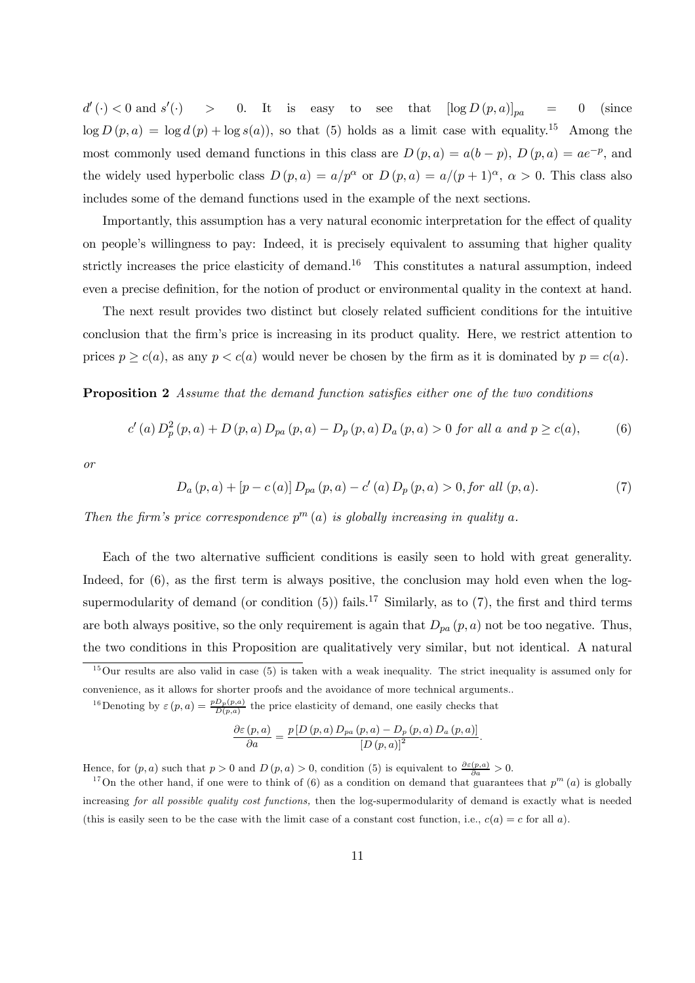$d'(\cdot) < 0$  and  $s'$  $>$  0. It is easy to see that  $[\log D(p, a)]_{pa} = 0$  (since  $\log D(p, a) = \log d(p) + \log s(a)$ , so that (5) holds as a limit case with equality.<sup>15</sup> Among the most commonly used demand functions in this class are  $D(p, a) = a(b - p)$ ,  $D(p, a) = ae^{-p}$ , and the widely used hyperbolic class  $D(p, a) = a/p^{\alpha}$  or  $D(p, a) = a/(p + 1)^{\alpha}, \alpha > 0$ . This class also includes some of the demand functions used in the example of the next sections.

Importantly, this assumption has a very natural economic interpretation for the effect of quality on people's willingness to pay: Indeed, it is precisely equivalent to assuming that higher quality strictly increases the price elasticity of demand.<sup>16</sup> This constitutes a natural assumption, indeed even a precise definition, for the notion of product or environmental quality in the context at hand.

The next result provides two distinct but closely related sufficient conditions for the intuitive conclusion that the firm's price is increasing in its product quality. Here, we restrict attention to prices  $p \geq c(a)$ , as any  $p < c(a)$  would never be chosen by the firm as it is dominated by  $p = c(a)$ .

Proposition 2 Assume that the demand function satisfies either one of the two conditions

$$
c'(a) D_p^2(p, a) + D(p, a) D_{pa}(p, a) - D_p(p, a) D_a(p, a) > 0 \text{ for all } a \text{ and } p \ge c(a),
$$
 (6)

or

$$
D_a(p,a) + [p - c(a)] D_{pa}(p,a) - c'(a) D_p(p,a) > 0, \text{for all } (p,a). \tag{7}
$$

Then the firm's price correspondence  $p^{m}(a)$  is globally increasing in quality a.

Each of the two alternative sufficient conditions is easily seen to hold with great generality. Indeed, for  $(6)$ , as the first term is always positive, the conclusion may hold even when the logsupermodularity of demand (or condition  $(5)$ ) fails.<sup>17</sup> Similarly, as to  $(7)$ , the first and third terms are both always positive, so the only requirement is again that  $D_{pa}(p, a)$  not be too negative. Thus, the two conditions in this Proposition are qualitatively very similar, but not identical. A natural

<sup>16</sup>Denoting by  $\varepsilon(p, a) = \frac{p D_p(p, a)}{D(p, a)}$  the price elasticity of demand, one easily checks that

$$
\frac{\partial \varepsilon(p,a)}{\partial a} = \frac{p \left[ D\left(p,a\right) D_{pa}\left(p,a\right) - D_p\left(p,a\right) D_a\left(p,a\right) \right]}{\left[ D\left(p,a\right) \right]^2}.
$$

Hence, for  $(p, a)$  such that  $p > 0$  and  $D(p, a) > 0$ , condition (5) is equivalent to  $\frac{\partial \varepsilon(p, a)}{\partial a} > 0$ .

 $15$ Our results are also valid in case (5) is taken with a weak inequality. The strict inequality is assumed only for convenience, as it allows for shorter proofs and the avoidance of more technical arguments..

<sup>&</sup>lt;sup>17</sup>On the other hand, if one were to think of (6) as a condition on demand that guarantees that  $p^m(a)$  is globally increasing for all possible quality cost functions, then the log-supermodularity of demand is exactly what is needed (this is easily seen to be the case with the limit case of a constant cost function, i.e.,  $c(a) = c$  for all a).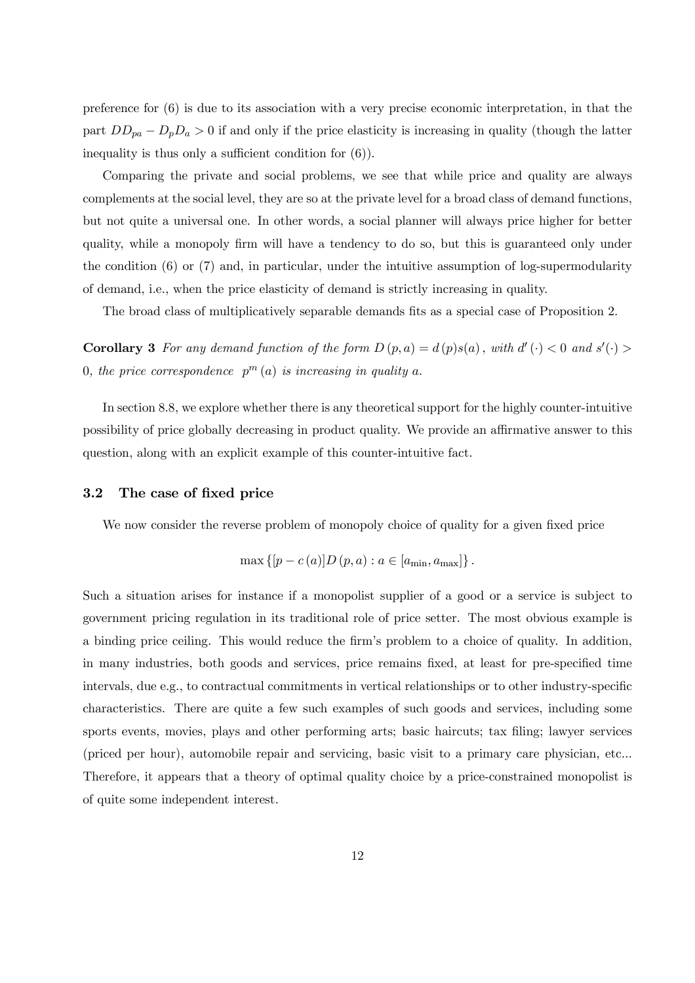preference for (6) is due to its association with a very precise economic interpretation, in that the part  $DD_{pa} - D_pD_a > 0$  if and only if the price elasticity is increasing in quality (though the latter inequality is thus only a sufficient condition for (6)).

Comparing the private and social problems, we see that while price and quality are always complements at the social level, they are so at the private level for a broad class of demand functions, but not quite a universal one. In other words, a social planner will always price higher for better quality, while a monopoly firm will have a tendency to do so, but this is guaranteed only under the condition (6) or (7) and, in particular, under the intuitive assumption of log-supermodularity of demand, i.e., when the price elasticity of demand is strictly increasing in quality.

The broad class of multiplicatively separable demands fits as a special case of Proposition 2.

**Corollary 3** For any demand function of the form  $D(p, a) = d(p)s(a)$ , with  $d'(\cdot) < 0$  and  $s'(\cdot) >$ 0, the price correspondence  $p^{m}(a)$  is increasing in quality a.

In section 8.8, we explore whether there is any theoretical support for the highly counter-intuitive possibility of price globally decreasing in product quality. We provide an affirmative answer to this question, along with an explicit example of this counter-intuitive fact.

#### 3.2 The case of fixed price

We now consider the reverse problem of monopoly choice of quality for a given fixed price

$$
\max\left\{[p-c\left(a\right)]D\left(p,a\right):a\in\left[a_{\min},a_{\max}\right]\right\}.
$$

Such a situation arises for instance if a monopolist supplier of a good or a service is subject to government pricing regulation in its traditional role of price setter. The most obvious example is a binding price ceiling. This would reduce the firm's problem to a choice of quality. In addition, in many industries, both goods and services, price remains fixed, at least for pre-specified time intervals, due e.g., to contractual commitments in vertical relationships or to other industry-specific characteristics. There are quite a few such examples of such goods and services, including some sports events, movies, plays and other performing arts; basic haircuts; tax filing; lawyer services (priced per hour), automobile repair and servicing, basic visit to a primary care physician, etc... Therefore, it appears that a theory of optimal quality choice by a price-constrained monopolist is of quite some independent interest.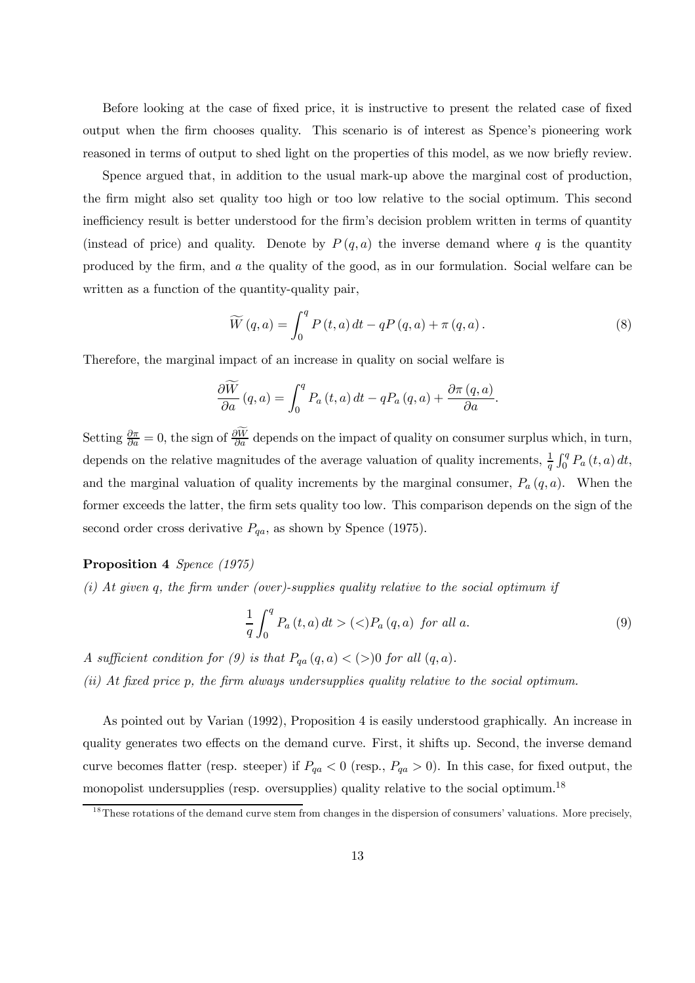Before looking at the case of fixed price, it is instructive to present the related case of fixed output when the firm chooses quality. This scenario is of interest as Spence's pioneering work reasoned in terms of output to shed light on the properties of this model, as we now briefly review.

Spence argued that, in addition to the usual mark-up above the marginal cost of production, the firm might also set quality too high or too low relative to the social optimum. This second inefficiency result is better understood for the firm's decision problem written in terms of quantity (instead of price) and quality. Denote by  $P(q, a)$  the inverse demand where q is the quantity produced by the firm, and a the quality of the good, as in our formulation. Social welfare can be written as a function of the quantity-quality pair,

$$
\widetilde{W}(q,a) = \int_0^q P(t,a) dt - qP(q,a) + \pi(q,a).
$$
\n(8)

Therefore, the marginal impact of an increase in quality on social welfare is

$$
\frac{\partial \widetilde{W}}{\partial a}(q,a) = \int_0^q P_a(t,a) dt - qP_a(q,a) + \frac{\partial \pi (q,a)}{\partial a}.
$$

Setting  $\frac{\partial \pi}{\partial a} = 0$ , the sign of  $\frac{\partial \widetilde{W}}{\partial a}$  depends on the impact of quality on consumer surplus which, in turn, depends on the relative magnitudes of the average valuation of quality increments,  $\frac{1}{q} \int_0^q P_a(t, a) dt$ , and the marginal valuation of quality increments by the marginal consumer,  $P_a(q, a)$ . When the former exceeds the latter, the firm sets quality too low. This comparison depends on the sign of the second order cross derivative  $P_{qa}$ , as shown by Spence (1975).

#### Proposition 4 Spence (1975)

 $(i)$  At given q, the firm under (over)-supplies quality relative to the social optimum if

$$
\frac{1}{q} \int_{0}^{q} P_{a}(t, a) dt > (\langle) P_{a}(q, a) \text{ for all } a.
$$
\n(9)

A sufficient condition for (9) is that  $P_{qa}(q, a) < (>)0$  for all  $(q, a)$ .

(ii) At fixed price p, the firm always undersupplies quality relative to the social optimum.

As pointed out by Varian (1992), Proposition 4 is easily understood graphically. An increase in quality generates two effects on the demand curve. First, it shifts up. Second, the inverse demand curve becomes flatter (resp. steeper) if  $P_{qa} < 0$  (resp.,  $P_{qa} > 0$ ). In this case, for fixed output, the monopolist undersupplies (resp. oversupplies) quality relative to the social optimum.<sup>18</sup>

<sup>&</sup>lt;sup>18</sup>These rotations of the demand curve stem from changes in the dispersion of consumers' valuations. More precisely,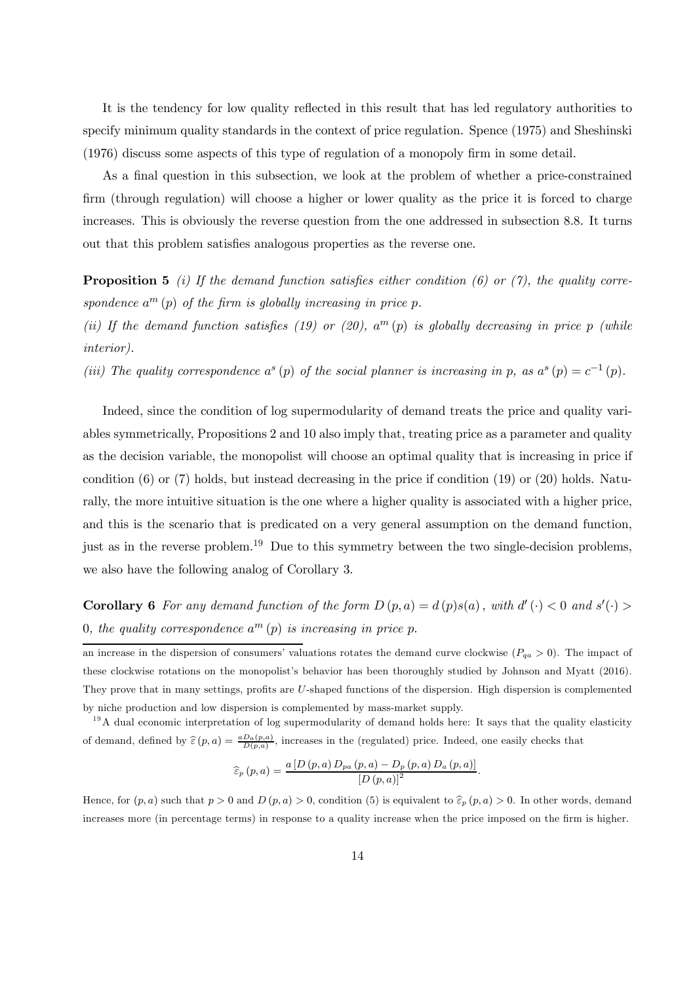It is the tendency for low quality reflected in this result that has led regulatory authorities to specify minimum quality standards in the context of price regulation. Spence (1975) and Sheshinski (1976) discuss some aspects of this type of regulation of a monopoly firm in some detail.

As a final question in this subsection, we look at the problem of whether a price-constrained firm (through regulation) will choose a higher or lower quality as the price it is forced to charge increases. This is obviously the reverse question from the one addressed in subsection 8.8. It turns out that this problem satisfies analogous properties as the reverse one.

**Proposition 5** (i) If the demand function satisfies either condition (6) or (7), the quality correspondence  $a^m(p)$  of the firm is globally increasing in price p.

(ii) If the demand function satisfies (19) or (20),  $a^m(p)$  is globally decreasing in price p (while interior).

(iii) The quality correspondence  $a^{s}(p)$  of the social planner is increasing in p, as  $a^{s}(p) = c^{-1}(p)$ .

Indeed, since the condition of log supermodularity of demand treats the price and quality variables symmetrically, Propositions 2 and 10 also imply that, treating price as a parameter and quality as the decision variable, the monopolist will choose an optimal quality that is increasing in price if condition (6) or (7) holds, but instead decreasing in the price if condition (19) or (20) holds. Naturally, the more intuitive situation is the one where a higher quality is associated with a higher price, and this is the scenario that is predicated on a very general assumption on the demand function, just as in the reverse problem.<sup>19</sup> Due to this symmetry between the two single-decision problems, we also have the following analog of Corollary 3.

**Corollary 6** For any demand function of the form  $D(p, a) = d(p)s(a)$ , with  $d'(\cdot) < 0$  and  $s'(\cdot) >$ 0, the quality correspondence  $a^m(p)$  is increasing in price p.

 $19A$  dual economic interpretation of log supermodularity of demand holds here: It says that the quality elasticity of demand, defined by  $\hat{\epsilon}(p, a) = \frac{a D_a(p, a)}{D(p, a)}$ , increases in the (regulated) price. Indeed, one easily checks that

$$
\widehat{\varepsilon}_{p} (p, a) = \frac{a \left[ D (p, a) D_{pa} (p, a) - D_{p} (p, a) D_{a} (p, a) \right]}{\left[ D (p, a) \right]^{2}}.
$$

Hence, for  $(p, a)$  such that  $p > 0$  and  $D(p, a) > 0$ , condition (5) is equivalent to  $\hat{\varepsilon}_p(p, a) > 0$ . In other words, demand increases more (in percentage terms) in response to a quality increase when the price imposed on the firm is higher.

an increase in the dispersion of consumers' valuations rotates the demand curve clockwise  $(P_{qa} > 0)$ . The impact of these clockwise rotations on the monopolist's behavior has been thoroughly studied by Johnson and Myatt (2016). They prove that in many settings, profits are U-shaped functions of the dispersion. High dispersion is complemented by niche production and low dispersion is complemented by mass-market supply.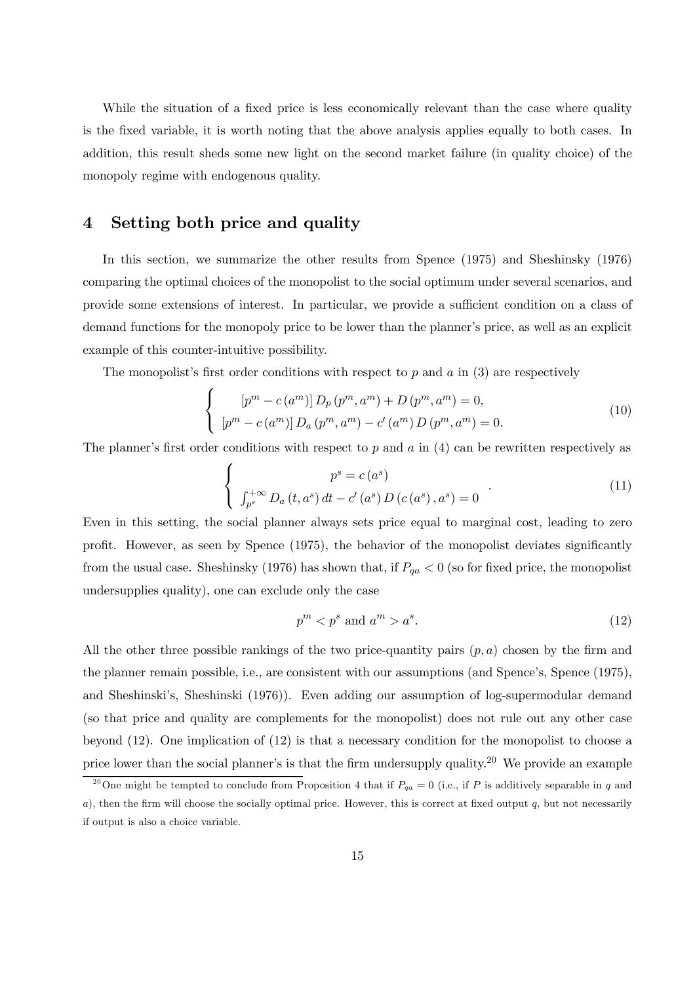While the situation of a fixed price is less economically relevant than the case where quality is the fixed variable, it is worth noting that the above analysis applies equally to both cases. In addition, this result sheds some new light on the second market failure (in quality choice) of the monopoly regime with endogenous quality.

# 4 Setting both price and quality

In this section, we summarize the other results from Spence (1975) and Sheshinsky (1976) comparing the optimal choices of the monopolist to the social optimum under several scenarios, and provide some extensions of interest. In particular, we provide a sufficient condition on a class of demand functions for the monopoly price to be lower than the planner's price, as well as an explicit example of this counter-intuitive possibility.

The monopolist's first order conditions with respect to  $p$  and  $q$  in (3) are respectively

$$
\begin{cases}\n[p^m - c(a^m)] D_p(p^m, a^m) + D(p^m, a^m) = 0, \\
[p^m - c(a^m)] D_a(p^m, a^m) - c'(a^m) D(p^m, a^m) = 0.\n\end{cases} (10)
$$

The planner's first order conditions with respect to p and a in  $(4)$  can be rewritten respectively as

$$
\begin{cases}\n p^{s} = c(a^{s}) \\
 \int_{p^{s}}^{+\infty} D_{a}(t, a^{s}) dt - c'(a^{s}) D(c(a^{s}), a^{s}) = 0\n\end{cases} (11)
$$

Even in this setting, the social planner always sets price equal to marginal cost, leading to zero profit. However, as seen by Spence (1975), the behavior of the monopolist deviates significantly from the usual case. Sheshinsky (1976) has shown that, if  $P_{qa} < 0$  (so for fixed price, the monopolist undersupplies quality), one can exclude only the case

$$
p^m < p^s \text{ and } a^m > a^s. \tag{12}
$$

All the other three possible rankings of the two price-quantity pairs  $(p, a)$  chosen by the firm and the planner remain possible, i.e., are consistent with our assumptions (and Spence's, Spence (1975), and Sheshinski's, Sheshinski (1976)). Even adding our assumption of log-supermodular demand (so that price and quality are complements for the monopolist) does not rule out any other case beyond (12). One implication of (12) is that a necessary condition for the monopolist to choose a price lower than the social planner's is that the firm undersupply quality.<sup>20</sup> We provide an example

<sup>&</sup>lt;sup>20</sup>One might be tempted to conclude from Proposition 4 that if  $P_{qa} = 0$  (i.e., if P is additively separable in q and a), then the firm will choose the socially optimal price. However, this is correct at fixed output  $q$ , but not necessarily if output is also a choice variable.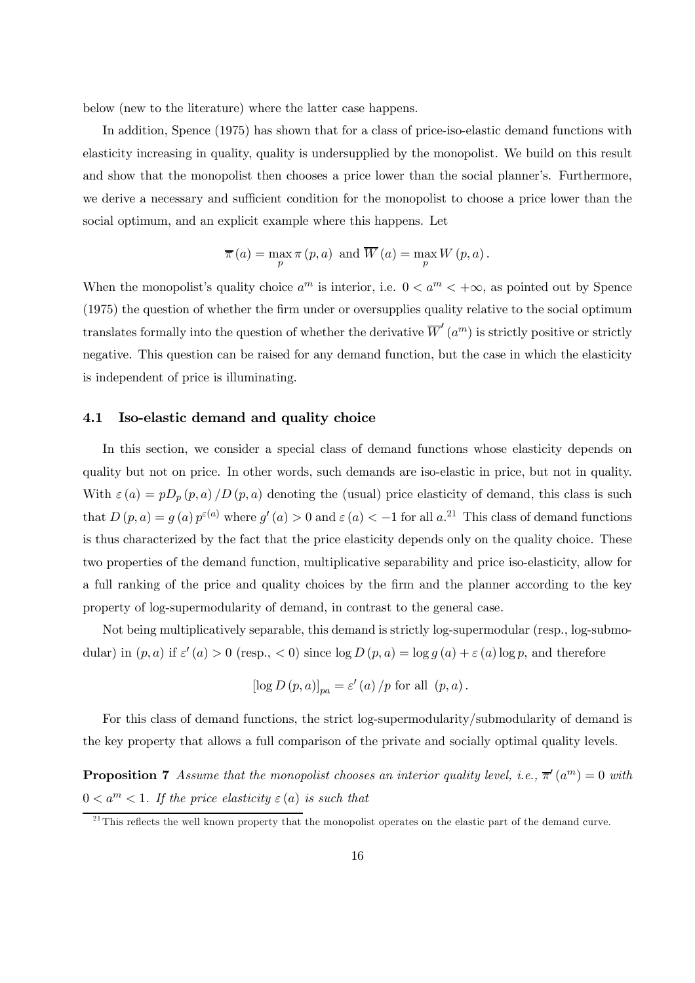below (new to the literature) where the latter case happens.

In addition, Spence (1975) has shown that for a class of price-iso-elastic demand functions with elasticity increasing in quality, quality is undersupplied by the monopolist. We build on this result and show that the monopolist then chooses a price lower than the social planner's. Furthermore, we derive a necessary and sufficient condition for the monopolist to choose a price lower than the social optimum, and an explicit example where this happens. Let

$$
\overline{\pi}(a) = \max_{p} \pi(p, a)
$$
 and  $\overline{W}(a) = \max_{p} W(p, a)$ .

When the monopolist's quality choice  $a^m$  is interior, i.e.  $0 < a^m < +\infty$ , as pointed out by Spence (1975) the question of whether the firm under or oversupplies quality relative to the social optimum translates formally into the question of whether the derivative  $\overline{W}'(a^m)$  is strictly positive or strictly negative. This question can be raised for any demand function, but the case in which the elasticity is independent of price is illuminating.

#### 4.1 Iso-elastic demand and quality choice

In this section, we consider a special class of demand functions whose elasticity depends on quality but not on price. In other words, such demands are iso-elastic in price, but not in quality. With  $\varepsilon$  (a) = pD<sub>p</sub> (p, a) /D (p, a) denoting the (usual) price elasticity of demand, this class is such that  $D(p, a) = g(a) p^{\varepsilon(a)}$  where  $g'(a) > 0$  and  $\varepsilon(a) < -1$  for all  $a$ <sup>21</sup>. This class of demand functions is thus characterized by the fact that the price elasticity depends only on the quality choice. These two properties of the demand function, multiplicative separability and price iso-elasticity, allow for a full ranking of the price and quality choices by the firm and the planner according to the key property of log-supermodularity of demand, in contrast to the general case.

Not being multiplicatively separable, this demand is strictly log-supermodular (resp., log-submodular) in  $(p, a)$  if  $\varepsilon'(a) > 0$  (resp.,  $\lt 0$ ) since  $\log D(p, a) = \log g(a) + \varepsilon(a) \log p$ , and therefore

$$
\left[\log D\left(p,a\right)\right]_{pa}=\varepsilon'\left(a\right)/p\; \text{for all }\left(p,a\right).
$$

For this class of demand functions, the strict log-supermodularity/submodularity of demand is the key property that allows a full comparison of the private and socially optimal quality levels.

**Proposition 7** Assume that the monopolist chooses an interior quality level, i.e.,  $\overline{\pi}'(a^m) = 0$  with  $0 < a<sup>m</sup> < 1$ . If the price elasticity  $\varepsilon(a)$  is such that

 $^{21}$ This reflects the well known property that the monopolist operates on the elastic part of the demand curve.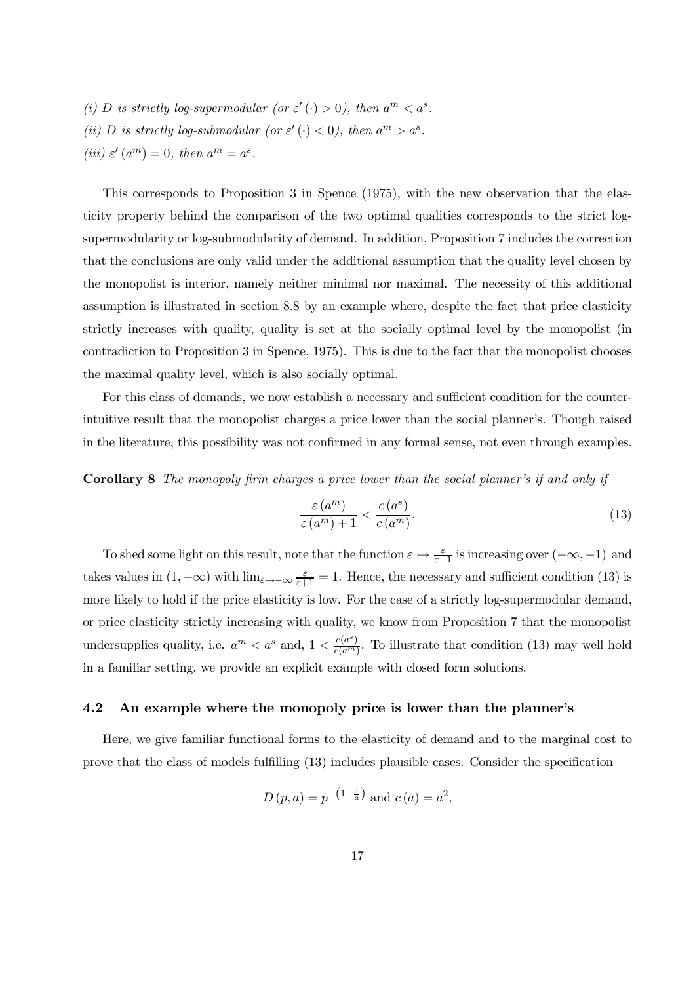(i) D is strictly log-supermodular (or  $\varepsilon'(\cdot) > 0$ ), then  $a^m < a^s$ . (ii) D is strictly log-submodular (or  $\varepsilon'$  (·) < 0), then  $a^m > a^s$ . (iii)  $\varepsilon'(a^m) = 0$ , then  $a^m = a^s$ .

This corresponds to Proposition 3 in Spence (1975), with the new observation that the elasticity property behind the comparison of the two optimal qualities corresponds to the strict logsupermodularity or log-submodularity of demand. In addition, Proposition 7 includes the correction that the conclusions are only valid under the additional assumption that the quality level chosen by the monopolist is interior, namely neither minimal nor maximal. The necessity of this additional assumption is illustrated in section 8.8 by an example where, despite the fact that price elasticity strictly increases with quality, quality is set at the socially optimal level by the monopolist (in contradiction to Proposition 3 in Spence, 1975). This is due to the fact that the monopolist chooses the maximal quality level, which is also socially optimal.

For this class of demands, we now establish a necessary and sufficient condition for the counterintuitive result that the monopolist charges a price lower than the social planner's. Though raised in the literature, this possibility was not confirmed in any formal sense, not even through examples.

Corollary 8 The monopoly firm charges a price lower than the social planner's if and only if

$$
\frac{\varepsilon(a^m)}{\varepsilon(a^m) + 1} < \frac{c(a^s)}{c(a^m)}.\tag{13}
$$

To shed some light on this result, note that the function  $\varepsilon \mapsto \frac{\varepsilon}{\varepsilon+1}$  is increasing over  $(-\infty, -1)$  and takes values in  $(1, +\infty)$  with  $\lim_{\varepsilon \to -\infty} \frac{\varepsilon}{\varepsilon + 1} = 1$ . Hence, the necessary and sufficient condition (13) is more likely to hold if the price elasticity is low. For the case of a strictly log-supermodular demand, or price elasticity strictly increasing with quality, we know from Proposition 7 that the monopolist undersupplies quality, i.e.  $a^m < a^s$  and,  $1 < \frac{c(a^s)}{c(a^m)}$  $\frac{c(a^m)}{c(a^m)}$ . To illustrate that condition (13) may well hold in a familiar setting, we provide an explicit example with closed form solutions.

#### 4.2 An example where the monopoly price is lower than the planner's

Here, we give familiar functional forms to the elasticity of demand and to the marginal cost to prove that the class of models fulfilling (13) includes plausible cases. Consider the specification

$$
D(p, a) = p^{-\left(1 + \frac{1}{a}\right)}
$$
 and  $c(a) = a^2$ ,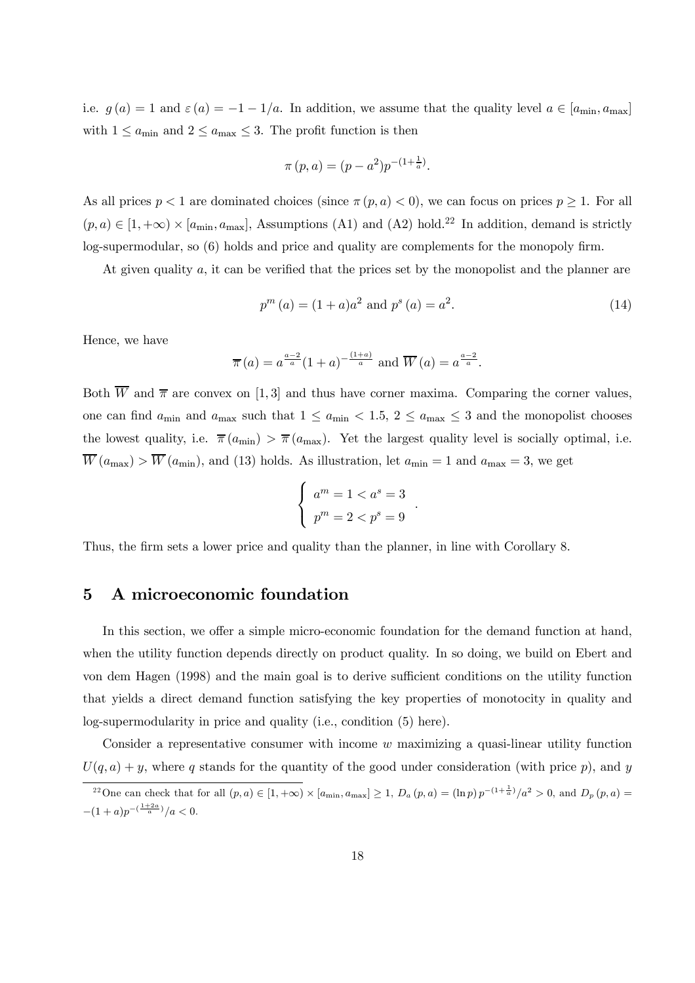i.e.  $g(a) = 1$  and  $\varepsilon(a) = -1 - 1/a$ . In addition, we assume that the quality level  $a \in [a_{\min}, a_{\max}]$ with  $1 \le a_{\text{min}}$  and  $2 \le a_{\text{max}} \le 3$ . The profit function is then

$$
\pi(p, a) = (p - a^2)p^{-(1 + \frac{1}{a})}.
$$

As all prices  $p < 1$  are dominated choices (since  $\pi(p, a) < 0$ ), we can focus on prices  $p \ge 1$ . For all  $(p, a) \in [1, +\infty) \times [a_{\min}, a_{\max}]$ , Assumptions (A1) and (A2) hold.<sup>22</sup> In addition, demand is strictly log-supermodular, so (6) holds and price and quality are complements for the monopoly firm.

At given quality a, it can be verified that the prices set by the monopolist and the planner are

$$
p^{m}(a) = (1+a)a^{2} \text{ and } p^{s}(a) = a^{2}.
$$
 (14)

Hence, we have

$$
\overline{\pi}(a) = a^{\frac{a-2}{a}} (1+a)^{-\frac{(1+a)}{a}} \text{ and } \overline{W}(a) = a^{\frac{a-2}{a}}.
$$

Both  $\overline{W}$  and  $\overline{\pi}$  are convex on [1,3] and thus have corner maxima. Comparing the corner values, one can find  $a_{\min}$  and  $a_{\max}$  such that  $1 \le a_{\min} < 1.5, 2 \le a_{\max} \le 3$  and the monopolist chooses the lowest quality, i.e.  $\bar{\pi}(a_{\min}) > \bar{\pi}(a_{\max})$ . Yet the largest quality level is socially optimal, i.e.  $\overline{W}(a_{\text{max}}) > \overline{W}(a_{\text{min}})$ , and (13) holds. As illustration, let  $a_{\text{min}} = 1$  and  $a_{\text{max}} = 3$ , we get

$$
\begin{cases}\na^m = 1 < a^s = 3 \\
p^m = 2 < p^s = 9\n\end{cases}
$$

.

Thus, the firm sets a lower price and quality than the planner, in line with Corollary 8.

# 5 A microeconomic foundation

In this section, we offer a simple micro-economic foundation for the demand function at hand, when the utility function depends directly on product quality. In so doing, we build on Ebert and von dem Hagen (1998) and the main goal is to derive sufficient conditions on the utility function that yields a direct demand function satisfying the key properties of monotocity in quality and log-supermodularity in price and quality (i.e., condition (5) here).

Consider a representative consumer with income w maximizing a quasi-linear utility function  $U(q, a) + y$ , where q stands for the quantity of the good under consideration (with price p), and y

<sup>&</sup>lt;sup>22</sup>One can check that for all  $(p, a) \in [1, +\infty) \times [a_{\min}, a_{\max}] \geq 1$ ,  $D_a(p, a) = (\ln p) p^{-(1 + \frac{1}{a})}/a^2 > 0$ , and  $D_p(p, a) =$  $-(1+a)p^{-(\frac{1+2a}{a})}/a < 0.$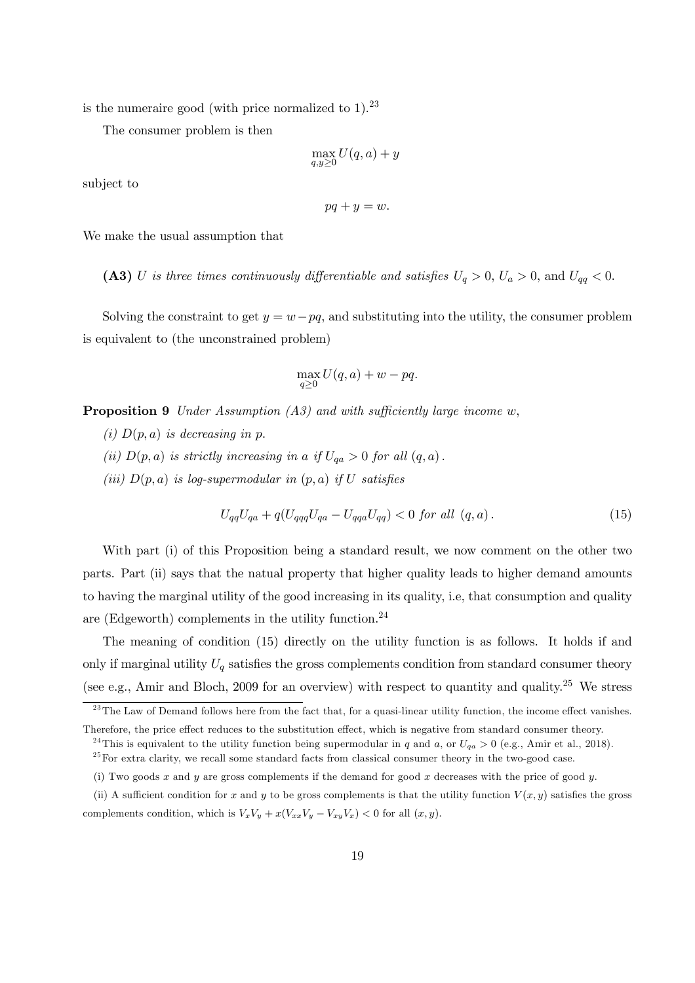is the numeraire good (with price normalized to  $1$ ).<sup>23</sup>

The consumer problem is then

$$
\max_{q,y\geq 0} U(q,a)+y
$$

subject to

$$
pq + y = w.
$$

We make the usual assumption that

(A3) U is three times continuously differentiable and satisfies  $U_q > 0$ ,  $U_a > 0$ , and  $U_{qq} < 0$ .

Solving the constraint to get  $y = w - pq$ , and substituting into the utility, the consumer problem is equivalent to (the unconstrained problem)

$$
\max_{q\geq 0} U(q, a) + w - pq.
$$

**Proposition 9** Under Assumption  $(A3)$  and with sufficiently large income w,

- (i)  $D(p, a)$  is decreasing in p.
- (ii)  $D(p, a)$  is strictly increasing in a if  $U_{qa} > 0$  for all  $(q, a)$ .
- (iii)  $D(p, a)$  is log-supermodular in  $(p, a)$  if U satisfies

$$
U_{qq}U_{qa} + q(U_{qqq}U_{qa} - U_{qqa}U_{qq}) < 0 \text{ for all } (q, a). \tag{15}
$$

With part (i) of this Proposition being a standard result, we now comment on the other two parts. Part (ii) says that the natual property that higher quality leads to higher demand amounts to having the marginal utility of the good increasing in its quality, i.e, that consumption and quality are (Edgeworth) complements in the utility function.<sup>24</sup>

The meaning of condition (15) directly on the utility function is as follows. It holds if and only if marginal utility  $U_q$  satisfies the gross complements condition from standard consumer theory (see e.g., Amir and Bloch, 2009 for an overview) with respect to quantity and quality.<sup>25</sup> We stress

 $^{23}$ The Law of Demand follows here from the fact that, for a quasi-linear utility function, the income effect vanishes. Therefore, the price effect reduces to the substitution effect, which is negative from standard consumer theory.

<sup>&</sup>lt;sup>24</sup>This is equivalent to the utility function being supermodular in q and a, or  $U_{qa} > 0$  (e.g., Amir et al., 2018).

 $25$  For extra clarity, we recall some standard facts from classical consumer theory in the two-good case.

<sup>(</sup>i) Two goods x and y are gross complements if the demand for good x decreases with the price of good y.

<sup>(</sup>ii) A sufficient condition for x and y to be gross complements is that the utility function  $V(x, y)$  satisfies the gross complements condition, which is  $V_xV_y + x(V_{xx}V_y - V_{xy}V_x) < 0$  for all  $(x, y)$ .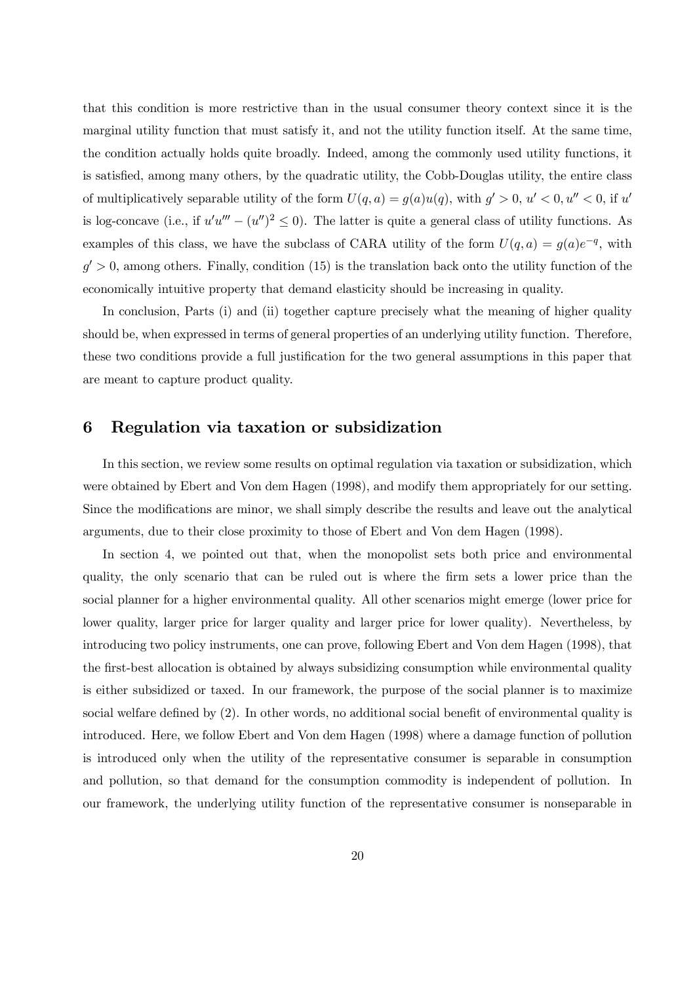that this condition is more restrictive than in the usual consumer theory context since it is the marginal utility function that must satisfy it, and not the utility function itself. At the same time, the condition actually holds quite broadly. Indeed, among the commonly used utility functions, it is satisfied, among many others, by the quadratic utility, the Cobb-Douglas utility, the entire class of multiplicatively separable utility of the form  $U(q, a) = g(a)u(q)$ , with  $g' > 0$ ,  $u' < 0$ ,  $u'' < 0$ , if  $u'$ is log-concave (i.e., if  $u'u''' - (u'')^2 \leq 0$ ). The latter is quite a general class of utility functions. As examples of this class, we have the subclass of CARA utility of the form  $U(q, a) = g(a)e^{-q}$ , with  $g' > 0$ , among others. Finally, condition (15) is the translation back onto the utility function of the economically intuitive property that demand elasticity should be increasing in quality.

In conclusion, Parts (i) and (ii) together capture precisely what the meaning of higher quality should be, when expressed in terms of general properties of an underlying utility function. Therefore, these two conditions provide a full justification for the two general assumptions in this paper that are meant to capture product quality.

# 6 Regulation via taxation or subsidization

In this section, we review some results on optimal regulation via taxation or subsidization, which were obtained by Ebert and Von dem Hagen (1998), and modify them appropriately for our setting. Since the modifications are minor, we shall simply describe the results and leave out the analytical arguments, due to their close proximity to those of Ebert and Von dem Hagen (1998).

In section 4, we pointed out that, when the monopolist sets both price and environmental quality, the only scenario that can be ruled out is where the firm sets a lower price than the social planner for a higher environmental quality. All other scenarios might emerge (lower price for lower quality, larger price for larger quality and larger price for lower quality). Nevertheless, by introducing two policy instruments, one can prove, following Ebert and Von dem Hagen (1998), that the first-best allocation is obtained by always subsidizing consumption while environmental quality is either subsidized or taxed. In our framework, the purpose of the social planner is to maximize social welfare defined by (2). In other words, no additional social benefit of environmental quality is introduced. Here, we follow Ebert and Von dem Hagen (1998) where a damage function of pollution is introduced only when the utility of the representative consumer is separable in consumption and pollution, so that demand for the consumption commodity is independent of pollution. In our framework, the underlying utility function of the representative consumer is nonseparable in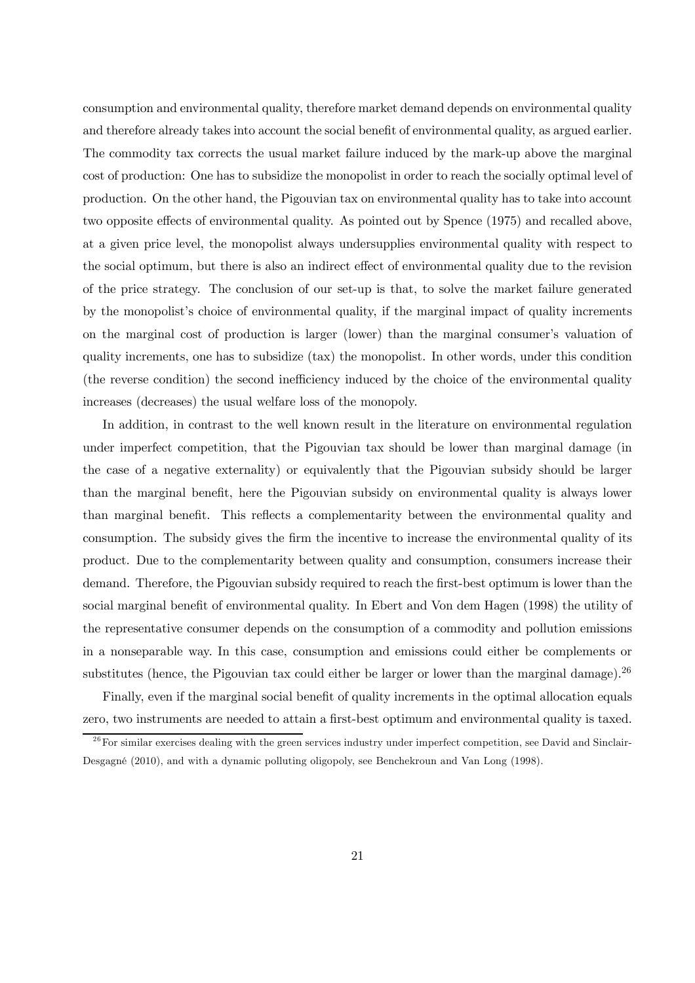consumption and environmental quality, therefore market demand depends on environmental quality and therefore already takes into account the social benefit of environmental quality, as argued earlier. The commodity tax corrects the usual market failure induced by the mark-up above the marginal cost of production: One has to subsidize the monopolist in order to reach the socially optimal level of production. On the other hand, the Pigouvian tax on environmental quality has to take into account two opposite effects of environmental quality. As pointed out by Spence (1975) and recalled above, at a given price level, the monopolist always undersupplies environmental quality with respect to the social optimum, but there is also an indirect effect of environmental quality due to the revision of the price strategy. The conclusion of our set-up is that, to solve the market failure generated by the monopolist's choice of environmental quality, if the marginal impact of quality increments on the marginal cost of production is larger (lower) than the marginal consumer's valuation of quality increments, one has to subsidize (tax) the monopolist. In other words, under this condition (the reverse condition) the second inefficiency induced by the choice of the environmental quality increases (decreases) the usual welfare loss of the monopoly.

In addition, in contrast to the well known result in the literature on environmental regulation under imperfect competition, that the Pigouvian tax should be lower than marginal damage (in the case of a negative externality) or equivalently that the Pigouvian subsidy should be larger than the marginal benefit, here the Pigouvian subsidy on environmental quality is always lower than marginal benefit. This reflects a complementarity between the environmental quality and consumption. The subsidy gives the firm the incentive to increase the environmental quality of its product. Due to the complementarity between quality and consumption, consumers increase their demand. Therefore, the Pigouvian subsidy required to reach the first-best optimum is lower than the social marginal benefit of environmental quality. In Ebert and Von dem Hagen (1998) the utility of the representative consumer depends on the consumption of a commodity and pollution emissions in a nonseparable way. In this case, consumption and emissions could either be complements or substitutes (hence, the Pigouvian tax could either be larger or lower than the marginal damage).<sup>26</sup>

Finally, even if the marginal social benefit of quality increments in the optimal allocation equals zero, two instruments are needed to attain a first-best optimum and environmental quality is taxed.

 $26$  For similar exercises dealing with the green services industry under imperfect competition, see David and Sinclair-Desgagné (2010), and with a dynamic polluting oligopoly, see Benchekroun and Van Long (1998).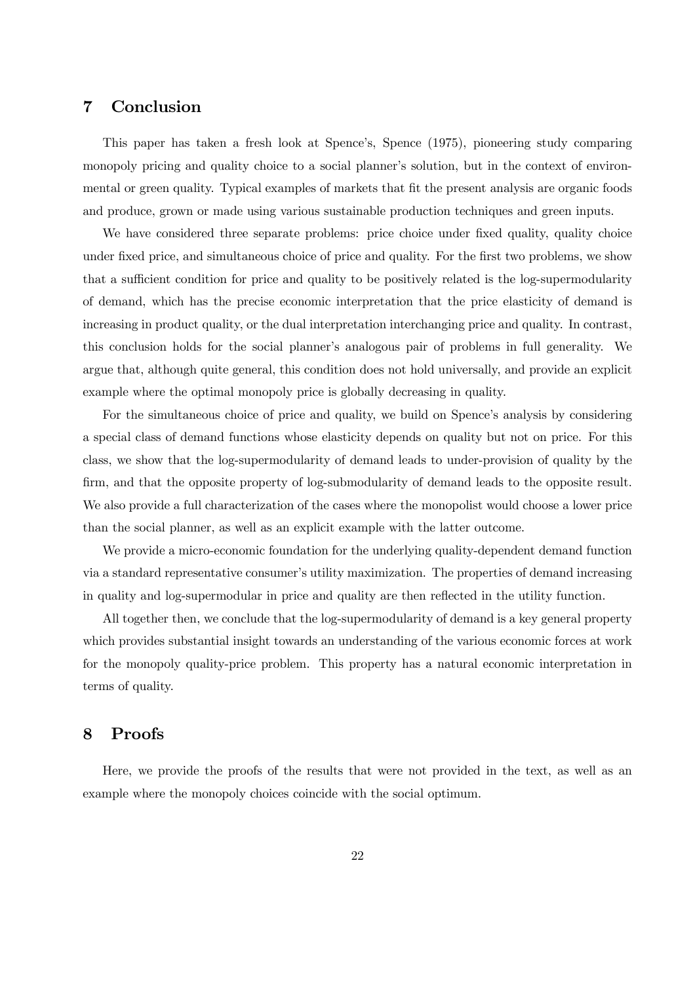# 7 Conclusion

This paper has taken a fresh look at Spence's, Spence (1975), pioneering study comparing monopoly pricing and quality choice to a social planner's solution, but in the context of environmental or green quality. Typical examples of markets that fit the present analysis are organic foods and produce, grown or made using various sustainable production techniques and green inputs.

We have considered three separate problems: price choice under fixed quality, quality choice under fixed price, and simultaneous choice of price and quality. For the first two problems, we show that a sufficient condition for price and quality to be positively related is the log-supermodularity of demand, which has the precise economic interpretation that the price elasticity of demand is increasing in product quality, or the dual interpretation interchanging price and quality. In contrast, this conclusion holds for the social planner's analogous pair of problems in full generality. We argue that, although quite general, this condition does not hold universally, and provide an explicit example where the optimal monopoly price is globally decreasing in quality.

For the simultaneous choice of price and quality, we build on Spence's analysis by considering a special class of demand functions whose elasticity depends on quality but not on price. For this class, we show that the log-supermodularity of demand leads to under-provision of quality by the firm, and that the opposite property of log-submodularity of demand leads to the opposite result. We also provide a full characterization of the cases where the monopolist would choose a lower price than the social planner, as well as an explicit example with the latter outcome.

We provide a micro-economic foundation for the underlying quality-dependent demand function via a standard representative consumer's utility maximization. The properties of demand increasing in quality and log-supermodular in price and quality are then reflected in the utility function.

All together then, we conclude that the log-supermodularity of demand is a key general property which provides substantial insight towards an understanding of the various economic forces at work for the monopoly quality-price problem. This property has a natural economic interpretation in terms of quality.

# 8 Proofs

Here, we provide the proofs of the results that were not provided in the text, as well as an example where the monopoly choices coincide with the social optimum.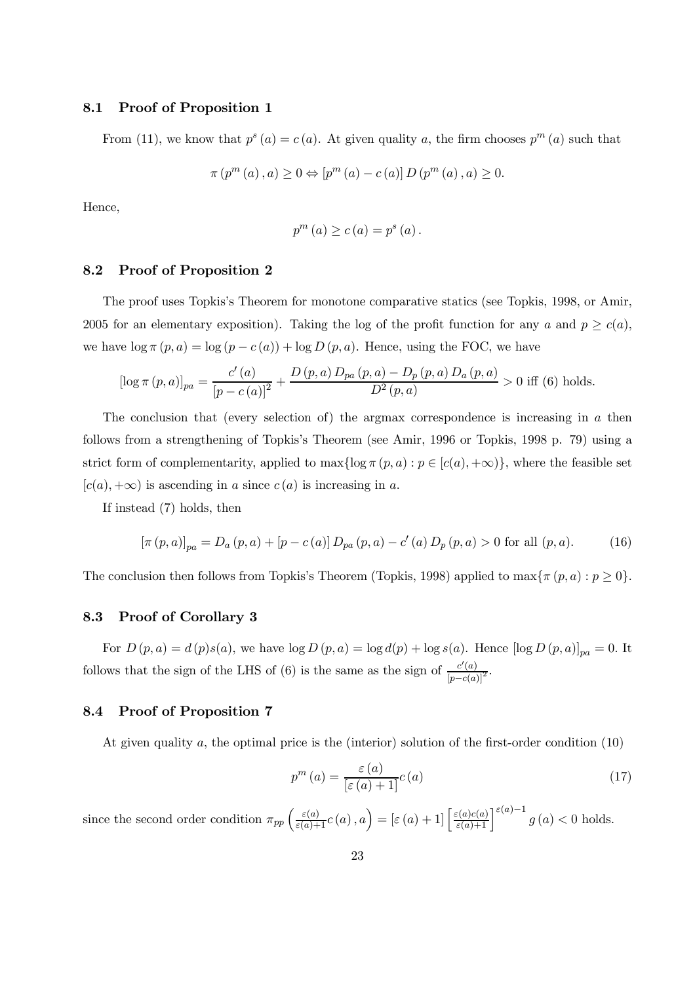# 8.1 Proof of Proposition 1

From (11), we know that  $p^{s}(a) = c(a)$ . At given quality a, the firm chooses  $p^{m}(a)$  such that

$$
\pi(p^{m}(a), a) \ge 0 \Leftrightarrow [p^{m}(a) - c(a)] D(p^{m}(a), a) \ge 0.
$$

Hence,

$$
p^{m}(a) \ge c(a) = p^{s}(a).
$$

#### 8.2 Proof of Proposition 2

The proof uses Topkis's Theorem for monotone comparative statics (see Topkis, 1998, or Amir, 2005 for an elementary exposition). Taking the log of the profit function for any a and  $p \geq c(a)$ , we have  $\log \pi (p, a) = \log (p - c(a)) + \log D(p, a)$ . Hence, using the FOC, we have

$$
[\log \pi (p, a)]_{pa} = \frac{c'(a)}{[p - c(a)]^2} + \frac{D(p, a) D_{pa}(p, a) - D_p(p, a) D_a(p, a)}{D^2(p, a)} > 0 \text{ iff (6) holds.}
$$

The conclusion that (every selection of) the argmax correspondence is increasing in  $a$  then follows from a strengthening of Topkis's Theorem (see Amir, 1996 or Topkis, 1998 p. 79) using a strict form of complementarity, applied to  $\max{\log \pi (p, a): p \in [c(a), +\infty)}$ , where the feasible set  $[c(a), +\infty)$  is ascending in a since  $c(a)$  is increasing in a.

If instead (7) holds, then

$$
[\pi(p, a)]_{pa} = D_a(p, a) + [p - c(a)] D_{pa}(p, a) - c'(a) D_p(p, a) > 0 \text{ for all } (p, a). \tag{16}
$$

The conclusion then follows from Topkis's Theorem (Topkis, 1998) applied to  $\max{\pi (p, a) : p \ge 0}$ .

# 8.3 Proof of Corollary 3

For  $D(p, a) = d(p)s(a)$ , we have  $\log D(p, a) = \log d(p) + \log s(a)$ . Hence  $[\log D(p, a)]_{pa} = 0$ . It follows that the sign of the LHS of (6) is the same as the sign of  $\frac{c'(a)}{[p-c(a)]^2}$ .

# 8.4 Proof of Proposition 7

At given quality a, the optimal price is the (interior) solution of the first-order condition (10)

$$
p^{m}(a) = \frac{\varepsilon(a)}{\left[\varepsilon(a) + 1\right]} c(a)
$$
\n(17)

since the second order condition  $\pi_{pp} \left( \frac{\varepsilon(a)}{\varepsilon(a)+1} c(a), a \right) = \left[ \varepsilon(a)+1 \right] \left[ \frac{\varepsilon(a)c(a)}{\varepsilon(a)+1} \right] \varepsilon(a)-1$   $g(a) < 0$  holds.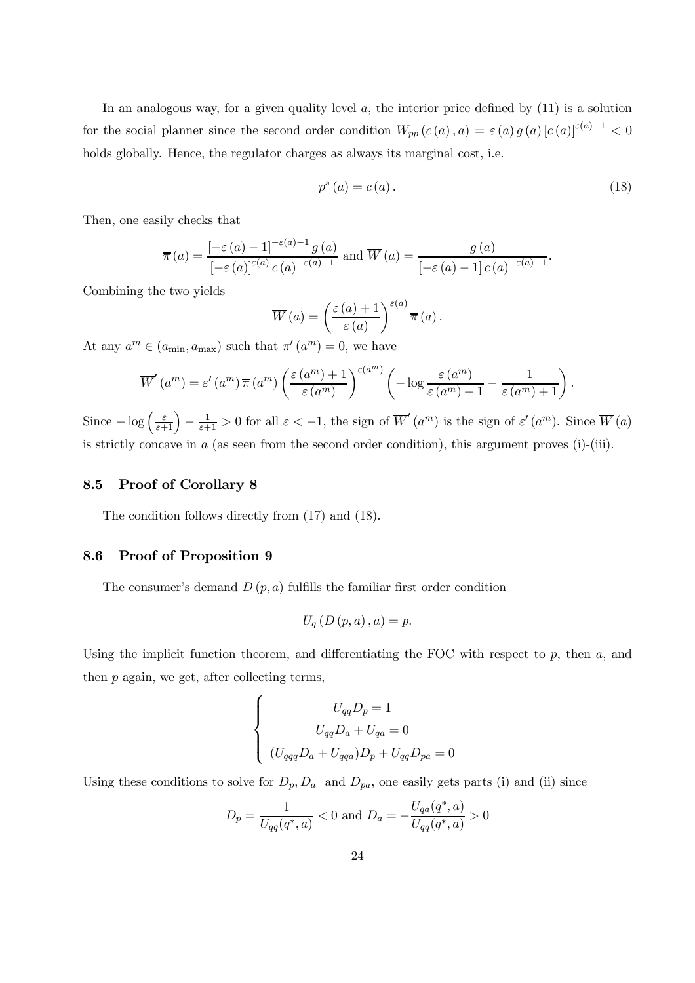In an analogous way, for a given quality level  $a$ , the interior price defined by  $(11)$  is a solution for the social planner since the second order condition  $W_{pp}(c(a), a) = \varepsilon(a) g(a) [c(a)]^{\varepsilon(a)-1} < 0$ holds globally. Hence, the regulator charges as always its marginal cost, i.e.

$$
p^{s}\left(a\right) = c\left(a\right). \tag{18}
$$

Then, one easily checks that

$$
\overline{\pi}(a) = \frac{\left[-\varepsilon(a) - 1\right]^{-\varepsilon(a) - 1} g(a)}{\left[-\varepsilon(a)\right]^{\varepsilon(a)} c(a)^{-\varepsilon(a) - 1}} \text{ and } \overline{W}(a) = \frac{g(a)}{\left[-\varepsilon(a) - 1\right] c(a)^{-\varepsilon(a) - 1}}.
$$

Combining the two yields

$$
\overline{W}(a) = \left(\frac{\varepsilon(a)+1}{\varepsilon(a)}\right)^{\varepsilon(a)} \overline{\pi}(a).
$$

At any  $a^m \in (a_{\min}, a_{\max})$  such that  $\overline{\pi}'(a^m) = 0$ , we have

$$
\overline{W}'(a^m) = \varepsilon'(a^m) \overline{\pi}(a^m) \left(\frac{\varepsilon(a^m) + 1}{\varepsilon(a^m)}\right)^{\varepsilon(a^m)} \left(-\log \frac{\varepsilon(a^m)}{\varepsilon(a^m) + 1} - \frac{1}{\varepsilon(a^m) + 1}\right).
$$

Since  $-\log\left(\frac{\varepsilon}{\varepsilon+1}\right)-\frac{1}{\varepsilon+1}>0$  for all  $\varepsilon<-1$ , the sign of  $\overline{W}'(a^m)$  is the sign of  $\varepsilon'(a^m)$ . Since  $\overline{W}(a)$ is strictly concave in a (as seen from the second order condition), this argument proves (i)-(iii).

### 8.5 Proof of Corollary 8

The condition follows directly from (17) and (18).

# 8.6 Proof of Proposition 9

The consumer's demand  $D(p, a)$  fulfills the familiar first order condition

$$
U_{q}\left( D\left( p,a\right) ,a\right) =p.
$$

Using the implicit function theorem, and differentiating the FOC with respect to  $p$ , then  $a$ , and then p again, we get, after collecting terms,

$$
\begin{cases}\nU_{qq}D_p = 1 \\
U_{qq}D_a + U_{qa} = 0 \\
(U_{qq}D_a + U_{qqa})D_p + U_{qq}D_{pa} = 0\n\end{cases}
$$

Using these conditions to solve for  $D_p$ ,  $D_a$  and  $D_{pa}$ , one easily gets parts (i) and (ii) since

$$
D_p = \frac{1}{U_{qq}(q^*,a)} < 0
$$
 and  $D_a = -\frac{U_{qa}(q^*,a)}{U_{qq}(q^*,a)} > 0$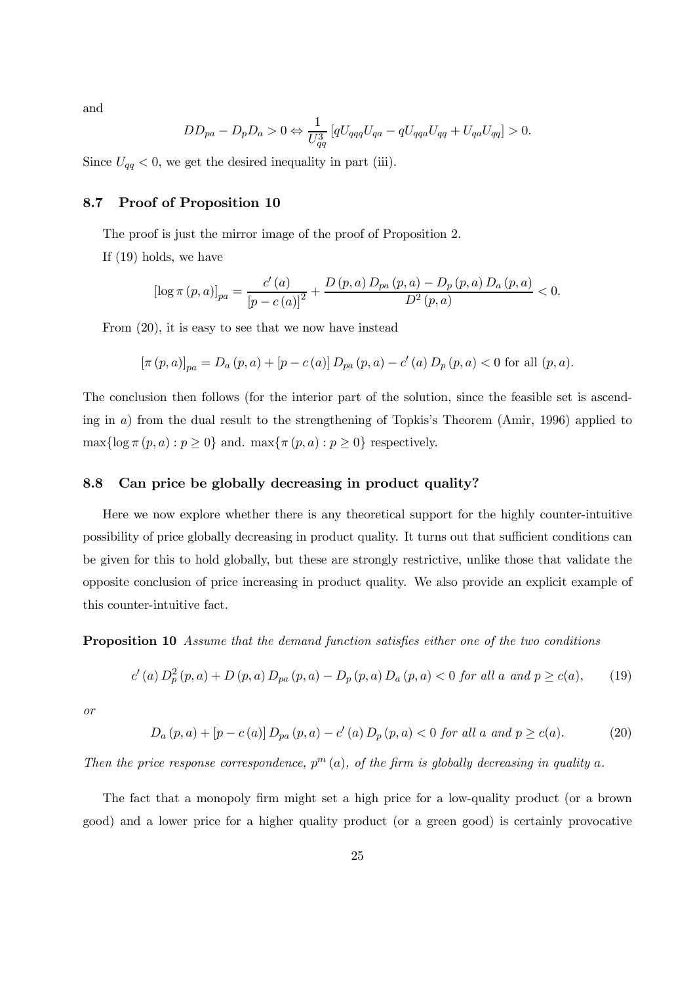and

$$
DD_{pa} - D_p D_a > 0 \Leftrightarrow \frac{1}{U_{qq}^3} \left[ qU_{qqq} U_{qa} - qU_{qqa} U_{qq} + U_{qa} U_{qq} \right] > 0.
$$

Since  $U_{qq} < 0$ , we get the desired inequality in part (iii).

## 8.7 Proof of Proposition 10

The proof is just the mirror image of the proof of Proposition 2.

If (19) holds, we have

$$
\left[\log \pi (p, a)\right]_{pa} = \frac{c'(a)}{\left[p - c(a)\right]^2} + \frac{D(p, a) D_{pa}(p, a) - D_p(p, a) D_a(p, a)}{D^2(p, a)} < 0.
$$

From (20), it is easy to see that we now have instead

$$
[\pi (p, a)]_{pa} = D_a (p, a) + [p - c(a)] D_{pa} (p, a) - c'(a) D_p (p, a) < 0 \text{ for all } (p, a).
$$

The conclusion then follows (for the interior part of the solution, since the feasible set is ascending in a) from the dual result to the strengthening of Topkis's Theorem (Amir, 1996) applied to  $\max{\log \pi (p, a): p \ge 0}$  and.  $\max{\pi (p, a): p \ge 0}$  respectively.

# 8.8 Can price be globally decreasing in product quality?

Here we now explore whether there is any theoretical support for the highly counter-intuitive possibility of price globally decreasing in product quality. It turns out that sufficient conditions can be given for this to hold globally, but these are strongly restrictive, unlike those that validate the opposite conclusion of price increasing in product quality. We also provide an explicit example of this counter-intuitive fact.

Proposition 10 Assume that the demand function satisfies either one of the two conditions

$$
c'(a) D_p^2(p, a) + D(p, a) D_{pa}(p, a) - D_p(p, a) D_a(p, a) < 0 \text{ for all } a \text{ and } p \ge c(a), \qquad (19)
$$

or

$$
D_a(p,a) + [p - c(a)] D_{pa}(p,a) - c'(a) D_p(p,a) < 0 \text{ for all } a \text{ and } p \ge c(a). \tag{20}
$$

Then the price response correspondence,  $p^{m}(a)$ , of the firm is globally decreasing in quality a.

The fact that a monopoly firm might set a high price for a low-quality product (or a brown good) and a lower price for a higher quality product (or a green good) is certainly provocative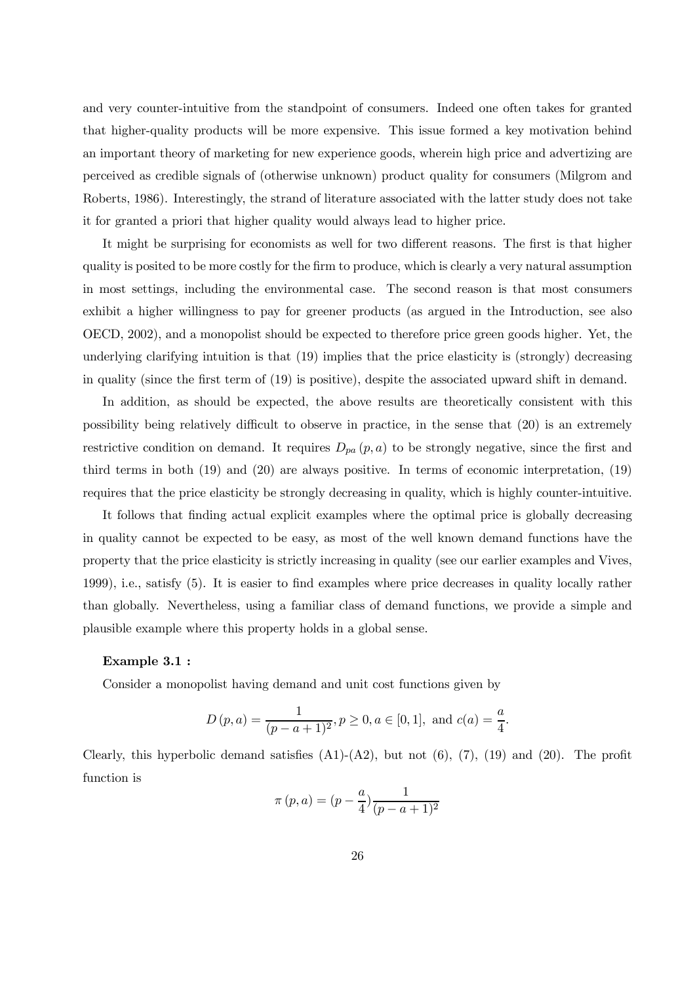and very counter-intuitive from the standpoint of consumers. Indeed one often takes for granted that higher-quality products will be more expensive. This issue formed a key motivation behind an important theory of marketing for new experience goods, wherein high price and advertizing are perceived as credible signals of (otherwise unknown) product quality for consumers (Milgrom and Roberts, 1986). Interestingly, the strand of literature associated with the latter study does not take it for granted a priori that higher quality would always lead to higher price.

It might be surprising for economists as well for two different reasons. The first is that higher quality is posited to be more costly for the firm to produce, which is clearly a very natural assumption in most settings, including the environmental case. The second reason is that most consumers exhibit a higher willingness to pay for greener products (as argued in the Introduction, see also OECD, 2002), and a monopolist should be expected to therefore price green goods higher. Yet, the underlying clarifying intuition is that (19) implies that the price elasticity is (strongly) decreasing in quality (since the first term of (19) is positive), despite the associated upward shift in demand.

In addition, as should be expected, the above results are theoretically consistent with this possibility being relatively difficult to observe in practice, in the sense that (20) is an extremely restrictive condition on demand. It requires  $D_{pa}(p, a)$  to be strongly negative, since the first and third terms in both (19) and (20) are always positive. In terms of economic interpretation, (19) requires that the price elasticity be strongly decreasing in quality, which is highly counter-intuitive.

It follows that finding actual explicit examples where the optimal price is globally decreasing in quality cannot be expected to be easy, as most of the well known demand functions have the property that the price elasticity is strictly increasing in quality (see our earlier examples and Vives, 1999), i.e., satisfy (5). It is easier to find examples where price decreases in quality locally rather than globally. Nevertheless, using a familiar class of demand functions, we provide a simple and plausible example where this property holds in a global sense.

#### Example 3.1 :

Consider a monopolist having demand and unit cost functions given by

$$
D(p, a) = \frac{1}{(p - a + 1)^2}, p \ge 0, a \in [0, 1],
$$
 and  $c(a) = \frac{a}{4}$ .

Clearly, this hyperbolic demand satisfies  $(A1)-(A2)$ , but not  $(6)$ ,  $(7)$ ,  $(19)$  and  $(20)$ . The profit function is

$$
\pi(p, a) = (p - \frac{a}{4}) \frac{1}{(p - a + 1)^2}
$$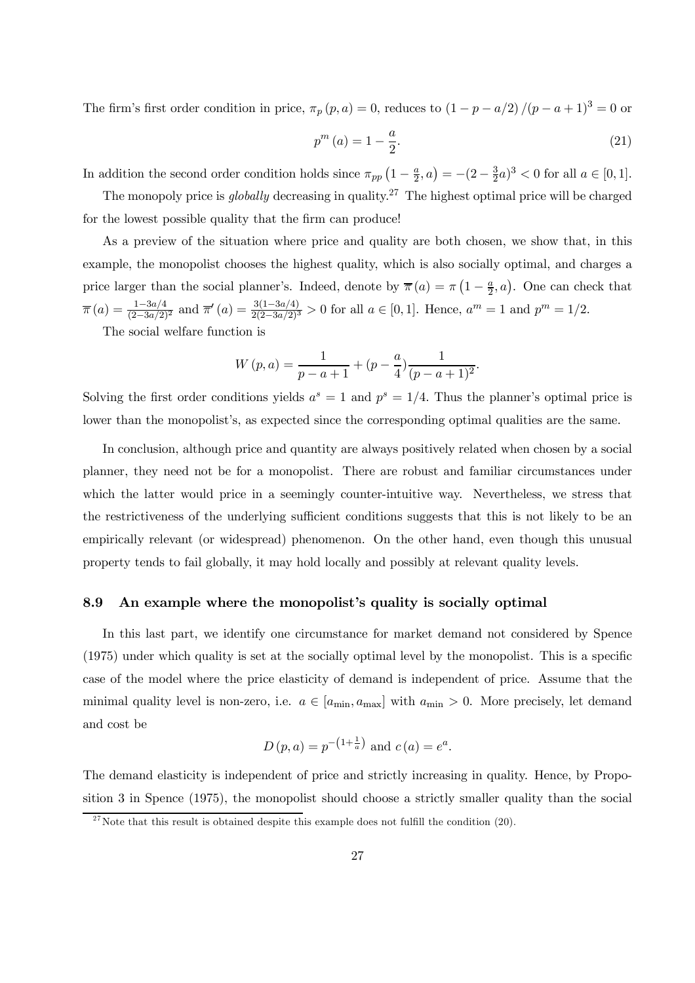The firm's first order condition in price,  $\pi_p(p, a) = 0$ , reduces to  $(1 - p - a/2)/(p - a + 1)^3 = 0$  or

$$
p^{m}(a) = 1 - \frac{a}{2}.
$$
\n(21)

In addition the second order condition holds since  $\pi_{pp}$   $\left(1-\frac{a}{2}\right)$  $(\frac{a}{2}, a) = -(2 - \frac{3}{2})$  $(\frac{3}{2}a)^3 < 0$  for all  $a \in [0,1]$ .

The monopoly price is *globally* decreasing in quality.<sup>27</sup> The highest optimal price will be charged for the lowest possible quality that the firm can produce!

As a preview of the situation where price and quality are both chosen, we show that, in this example, the monopolist chooses the highest quality, which is also socially optimal, and charges a price larger than the social planner's. Indeed, denote by  $\bar{\pi}(a) = \pi \left(1 - \frac{a}{2}\right)$  $(\frac{a}{2}, a)$ . One can check that  $\overline{\pi}(a) = \frac{1-3a/4}{(2-3a/2)^2}$  and  $\overline{\pi}'(a) = \frac{3(1-3a/4)}{2(2-3a/2)^3} > 0$  for all  $a \in [0,1]$ . Hence,  $a^m = 1$  and  $p^m = 1/2$ .

The social welfare function is

$$
W(p, a) = \frac{1}{p - a + 1} + (p - \frac{a}{4}) \frac{1}{(p - a + 1)^2}.
$$

Solving the first order conditions yields  $a^s = 1$  and  $p^s = 1/4$ . Thus the planner's optimal price is lower than the monopolist's, as expected since the corresponding optimal qualities are the same.

In conclusion, although price and quantity are always positively related when chosen by a social planner, they need not be for a monopolist. There are robust and familiar circumstances under which the latter would price in a seemingly counter-intuitive way. Nevertheless, we stress that the restrictiveness of the underlying sufficient conditions suggests that this is not likely to be an empirically relevant (or widespread) phenomenon. On the other hand, even though this unusual property tends to fail globally, it may hold locally and possibly at relevant quality levels.

#### 8.9 An example where the monopolist's quality is socially optimal

In this last part, we identify one circumstance for market demand not considered by Spence (1975) under which quality is set at the socially optimal level by the monopolist. This is a specific case of the model where the price elasticity of demand is independent of price. Assume that the minimal quality level is non-zero, i.e.  $a \in [a_{\min}, a_{\max}]$  with  $a_{\min} > 0$ . More precisely, let demand and cost be

$$
D(p, a) = p^{-\left(1 + \frac{1}{a}\right)}
$$
 and  $c(a) = e^a$ .

The demand elasticity is independent of price and strictly increasing in quality. Hence, by Proposition 3 in Spence (1975), the monopolist should choose a strictly smaller quality than the social

<sup>&</sup>lt;sup>27</sup>Note that this result is obtained despite this example does not fulfill the condition  $(20)$ .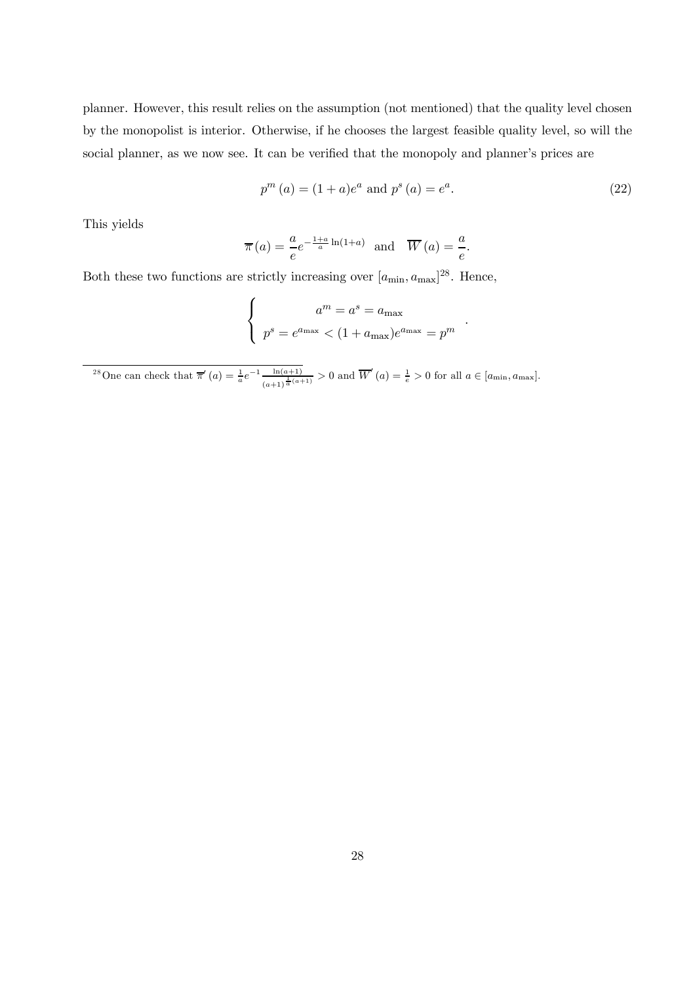planner. However, this result relies on the assumption (not mentioned) that the quality level chosen by the monopolist is interior. Otherwise, if he chooses the largest feasible quality level, so will the social planner, as we now see. It can be verified that the monopoly and planner's prices are

$$
p^{m}(a) = (1+a)e^{a} \text{ and } p^{s}(a) = e^{a}.
$$
 (22)

.

This yields

$$
\overline{\pi}(a) = \frac{a}{e}e^{-\frac{1+a}{a}\ln(1+a)}
$$
 and  $\overline{W}(a) = \frac{a}{e}$ .

Both these two functions are strictly increasing over  $[a_{\min}, a_{\max}]^{28}$ . Hence,

$$
\begin{cases}\n a^m = a^s = a_{\text{max}} \\
 p^s = e^{a_{\text{max}}} < (1 + a_{\text{max}})e^{a_{\text{max}}} = p^m\n\end{cases}
$$

<sup>28</sup>One can check that  $\bar{\pi}'(a) = \frac{1}{a}e^{-1} \frac{\ln(a+1)}{(a+1)^{\frac{1}{2}}(a+1)}$  $\frac{\ln(a+1)}{(a+1)^{\frac{1}{a}(a+1)}} > 0$  and  $\overline{W}'(a) = \frac{1}{e} > 0$  for all  $a \in [a_{\min}, a_{\max}]$ .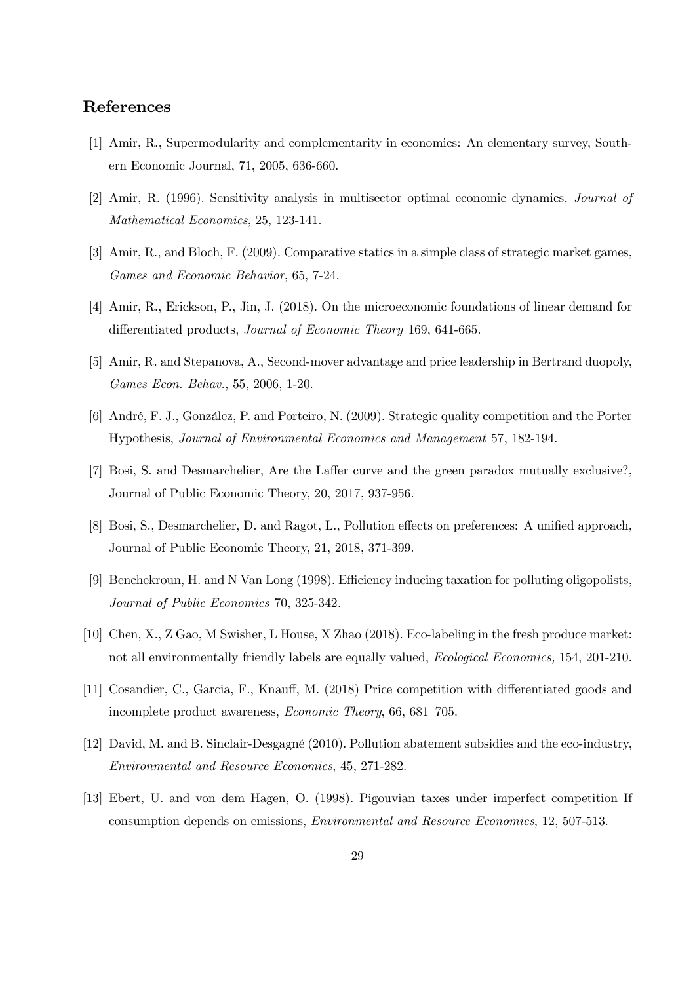# References

- [1] Amir, R., Supermodularity and complementarity in economics: An elementary survey, Southern Economic Journal, 71, 2005, 636-660.
- [2] Amir, R. (1996). Sensitivity analysis in multisector optimal economic dynamics, Journal of Mathematical Economics, 25, 123-141.
- [3] Amir, R., and Bloch, F. (2009). Comparative statics in a simple class of strategic market games, Games and Economic Behavior, 65, 7-24.
- [4] Amir, R., Erickson, P., Jin, J. (2018). On the microeconomic foundations of linear demand for differentiated products, Journal of Economic Theory 169, 641-665.
- [5] Amir, R. and Stepanova, A., Second-mover advantage and price leadership in Bertrand duopoly, Games Econ. Behav., 55, 2006, 1-20.
- [6] André, F. J., González, P. and Porteiro, N. (2009). Strategic quality competition and the Porter Hypothesis, Journal of Environmental Economics and Management 57, 182-194.
- [7] Bosi, S. and Desmarchelier, Are the Laffer curve and the green paradox mutually exclusive?, Journal of Public Economic Theory, 20, 2017, 937-956.
- [8] Bosi, S., Desmarchelier, D. and Ragot, L., Pollution effects on preferences: A unified approach, Journal of Public Economic Theory, 21, 2018, 371-399.
- [9] Benchekroun, H. and N Van Long (1998). Efficiency inducing taxation for polluting oligopolists, Journal of Public Economics 70, 325-342.
- [10] Chen, X., Z Gao, M Swisher, L House, X Zhao (2018). Eco-labeling in the fresh produce market: not all environmentally friendly labels are equally valued, Ecological Economics, 154, 201-210.
- [11] Cosandier, C., Garcia, F., Knauff, M. (2018) Price competition with differentiated goods and incomplete product awareness, Economic Theory, 66, 681—705.
- [12] David, M. and B. Sinclair-Desgagné (2010). Pollution abatement subsidies and the eco-industry, Environmental and Resource Economics, 45, 271-282.
- [13] Ebert, U. and von dem Hagen, O. (1998). Pigouvian taxes under imperfect competition If consumption depends on emissions, Environmental and Resource Economics, 12, 507-513.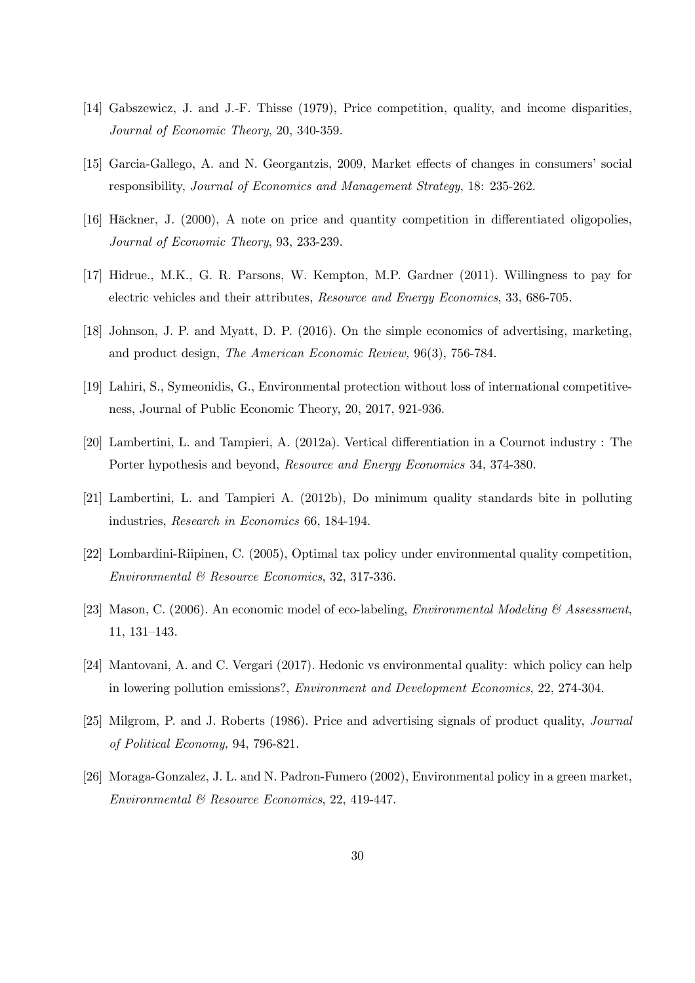- [14] Gabszewicz, J. and J.-F. Thisse (1979), Price competition, quality, and income disparities, Journal of Economic Theory, 20, 340-359.
- [15] Garcia-Gallego, A. and N. Georgantzis, 2009, Market effects of changes in consumers' social responsibility, Journal of Economics and Management Strategy, 18: 235-262.
- [16] Häckner, J. (2000), A note on price and quantity competition in differentiated oligopolies, Journal of Economic Theory, 93, 233-239.
- [17] Hidrue., M.K., G. R. Parsons, W. Kempton, M.P. Gardner (2011). Willingness to pay for electric vehicles and their attributes, Resource and Energy Economics, 33, 686-705.
- [18] Johnson, J. P. and Myatt, D. P. (2016). On the simple economics of advertising, marketing, and product design, The American Economic Review, 96(3), 756-784.
- [19] Lahiri, S., Symeonidis, G., Environmental protection without loss of international competitiveness, Journal of Public Economic Theory, 20, 2017, 921-936.
- [20] Lambertini, L. and Tampieri, A. (2012a). Vertical differentiation in a Cournot industry : The Porter hypothesis and beyond, Resource and Energy Economics 34, 374-380.
- [21] Lambertini, L. and Tampieri A. (2012b), Do minimum quality standards bite in polluting industries, Research in Economics 66, 184-194.
- [22] Lombardini-Riipinen, C. (2005), Optimal tax policy under environmental quality competition, Environmental & Resource Economics, 32, 317-336.
- [23] Mason, C. (2006). An economic model of eco-labeling, *Environmental Modeling*  $\mathcal{C}$  Assessment, 11, 131—143.
- [24] Mantovani, A. and C. Vergari (2017). Hedonic vs environmental quality: which policy can help in lowering pollution emissions?, Environment and Development Economics, 22, 274-304.
- [25] Milgrom, P. and J. Roberts (1986). Price and advertising signals of product quality, Journal of Political Economy, 94, 796-821.
- [26] Moraga-Gonzalez, J. L. and N. Padron-Fumero (2002), Environmental policy in a green market, Environmental & Resource Economics, 22, 419-447.